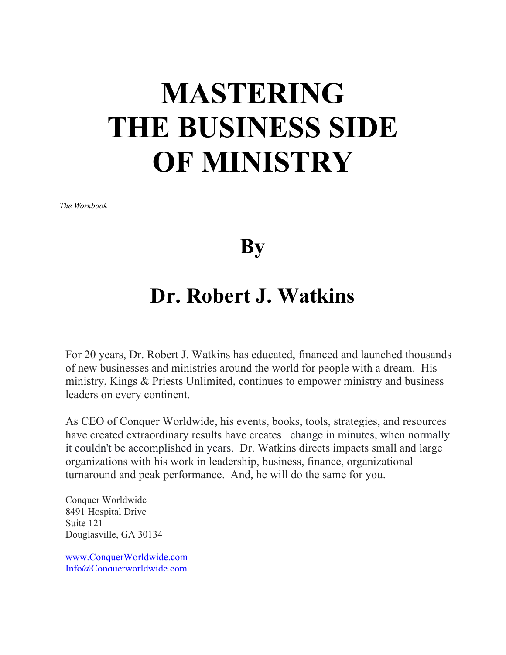# **MASTERING THE BUSINESS SIDE OF MINISTRY**

*The Workbook*

**By**

# **Dr. Robert J. Watkins**

For 20 years, Dr. Robert J. Watkins has educated, financed and launched thousands of new businesses and ministries around the world for people with a dream. His ministry, Kings & Priests Unlimited, continues to empower ministry and business leaders on every continent.

As CEO of Conquer Worldwide, his events, books, tools, strategies, and resources have created extraordinary results have creates change in minutes, when normally it couldn't be accomplished in years. Dr. Watkins directs impacts small and large organizations with his work in leadership, business, finance, organizational turnaround and peak performance. And, he will do the same for you.

Conquer Worldwide 8491 Hospital Drive Suite 121 Douglasville, GA 30134

www.ConquerWorldwide.com Info@Conquerworldwide.com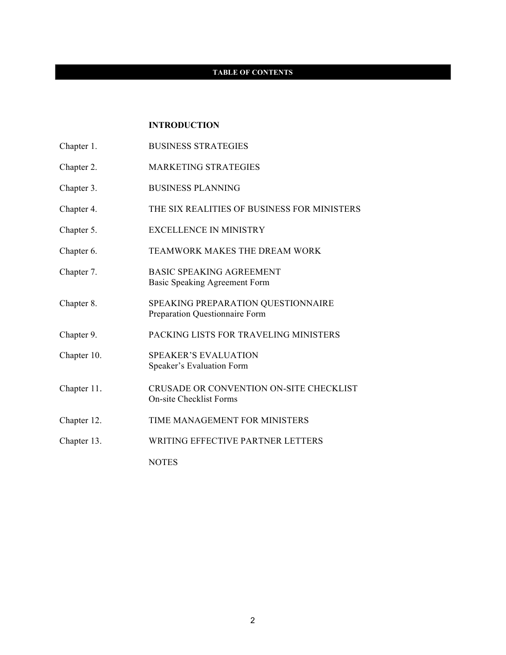#### **TABLE OF CONTENTS**

#### **INTRODUCTION**

- Chapter 1. BUSINESS STRATEGIES
- Chapter 2. MARKETING STRATEGIES
- Chapter 3. BUSINESS PLANNING
- Chapter 4. THE SIX REALITIES OF BUSINESS FOR MINISTERS
- Chapter 5. EXCELLENCE IN MINISTRY
- Chapter 6. TEAMWORK MAKES THE DREAM WORK
- Chapter 7. BASIC SPEAKING AGREEMENT Basic Speaking Agreement Form
- Chapter 8. SPEAKING PREPARATION QUESTIONNAIRE Preparation Questionnaire Form
- Chapter 9. PACKING LISTS FOR TRAVELING MINISTERS
- Chapter 10. SPEAKER'S EVALUATION Speaker's Evaluation Form
- Chapter 11. CRUSADE OR CONVENTION ON-SITE CHECKLIST On-site Checklist Forms
- Chapter 12. TIME MANAGEMENT FOR MINISTERS
- Chapter 13. WRITING EFFECTIVE PARTNER LETTERS

NOTES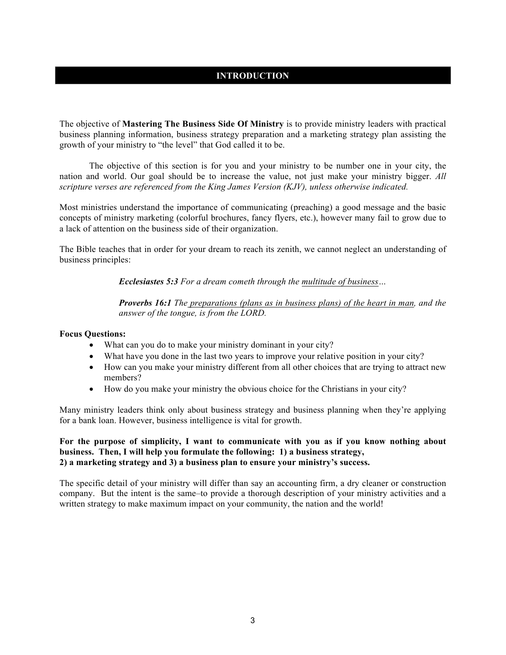# **INTRODUCTION**

The objective of **Mastering The Business Side Of Ministry** is to provide ministry leaders with practical business planning information, business strategy preparation and a marketing strategy plan assisting the growth of your ministry to "the level" that God called it to be.

 The objective of this section is for you and your ministry to be number one in your city, the nation and world. Our goal should be to increase the value, not just make your ministry bigger. *All scripture verses are referenced from the King James Version (KJV), unless otherwise indicated.*

Most ministries understand the importance of communicating (preaching) a good message and the basic concepts of ministry marketing (colorful brochures, fancy flyers, etc.), however many fail to grow due to a lack of attention on the business side of their organization.

The Bible teaches that in order for your dream to reach its zenith, we cannot neglect an understanding of business principles:

*Ecclesiastes 5:3 For a dream cometh through the multitude of business…*

*Proverbs 16:1 The preparations (plans as in business plans) of the heart in man, and the answer of the tongue, is from the LORD.*

#### **Focus Questions:**

- What can you do to make your ministry dominant in your city?
- What have you done in the last two years to improve your relative position in your city?
- How can you make your ministry different from all other choices that are trying to attract new members?
- How do you make your ministry the obvious choice for the Christians in your city?

Many ministry leaders think only about business strategy and business planning when they're applying for a bank loan. However, business intelligence is vital for growth.

#### **For the purpose of simplicity, I want to communicate with you as if you know nothing about business. Then, I will help you formulate the following: 1) a business strategy, 2) a marketing strategy and 3) a business plan to ensure your ministry's success.**

The specific detail of your ministry will differ than say an accounting firm, a dry cleaner or construction company. But the intent is the same–to provide a thorough description of your ministry activities and a written strategy to make maximum impact on your community, the nation and the world!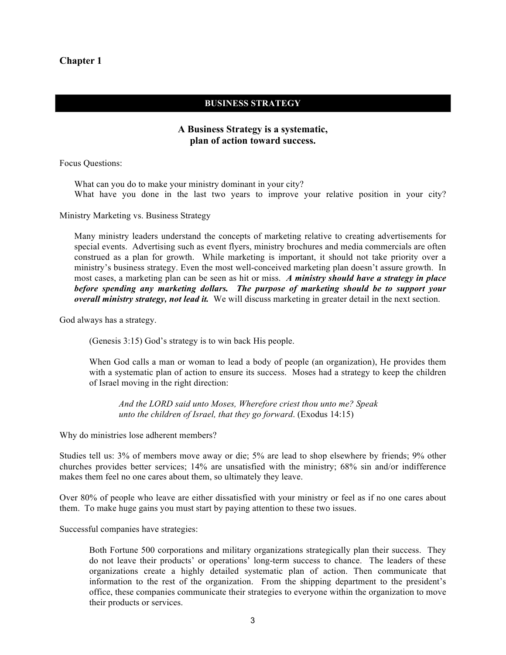#### **BUSINESS STRATEGY**

# **A Business Strategy is a systematic, plan of action toward success.**

Focus Questions:

What can you do to make your ministry dominant in your city? What have you done in the last two years to improve your relative position in your city?

Ministry Marketing vs. Business Strategy

Many ministry leaders understand the concepts of marketing relative to creating advertisements for special events. Advertising such as event flyers, ministry brochures and media commercials are often construed as a plan for growth. While marketing is important, it should not take priority over a ministry's business strategy. Even the most well-conceived marketing plan doesn't assure growth. In most cases, a marketing plan can be seen as hit or miss.*A ministry should have a strategy in place before spending any marketing dollars. The purpose of marketing should be to support your overall ministry strategy, not lead it.* We will discuss marketing in greater detail in the next section.

God always has a strategy.

(Genesis 3:15) God's strategy is to win back His people.

When God calls a man or woman to lead a body of people (an organization), He provides them with a systematic plan of action to ensure its success. Moses had a strategy to keep the children of Israel moving in the right direction:

*And the LORD said unto Moses, Wherefore criest thou unto me? Speak unto the children of Israel, that they go forward*. (Exodus 14:15)

Why do ministries lose adherent members?

Studies tell us: 3% of members move away or die; 5% are lead to shop elsewhere by friends; 9% other churches provides better services; 14% are unsatisfied with the ministry; 68% sin and/or indifference makes them feel no one cares about them, so ultimately they leave.

Over 80% of people who leave are either dissatisfied with your ministry or feel as if no one cares about them. To make huge gains you must start by paying attention to these two issues.

Successful companies have strategies:

Both Fortune 500 corporations and military organizations strategically plan their success. They do not leave their products' or operations' long-term success to chance. The leaders of these organizations create a highly detailed systematic plan of action. Then communicate that information to the rest of the organization. From the shipping department to the president's office, these companies communicate their strategies to everyone within the organization to move their products or services.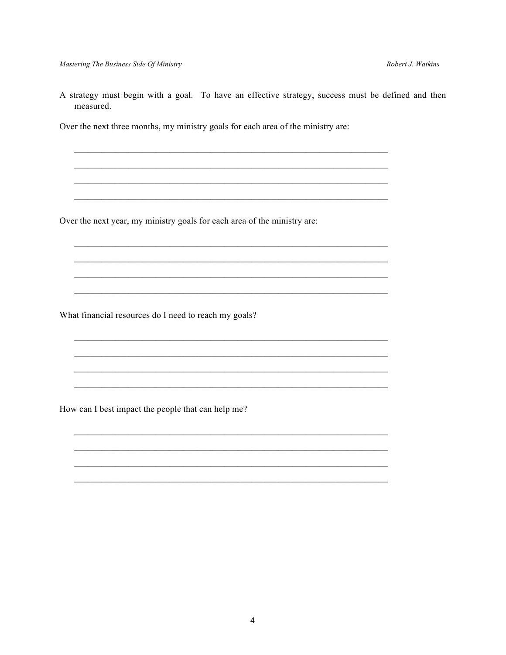A strategy must begin with a goal. To have an effective strategy, success must be defined and then measured.

Over the next three months, my ministry goals for each area of the ministry are:

Over the next year, my ministry goals for each area of the ministry are:

What financial resources do I need to reach my goals?

How can I best impact the people that can help me?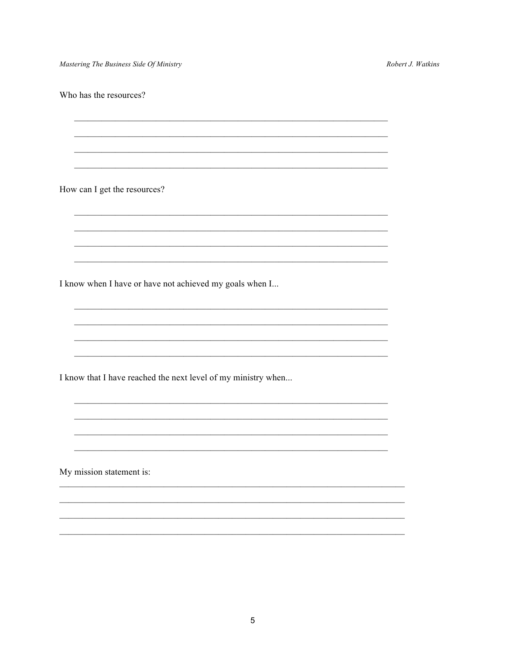Mastering The Business Side Of Ministry

Robert J. Watkins

Who has the resources?

How can I get the resources?

I know when I have or have not achieved my goals when I...

I know that I have reached the next level of my ministry when...

My mission statement is: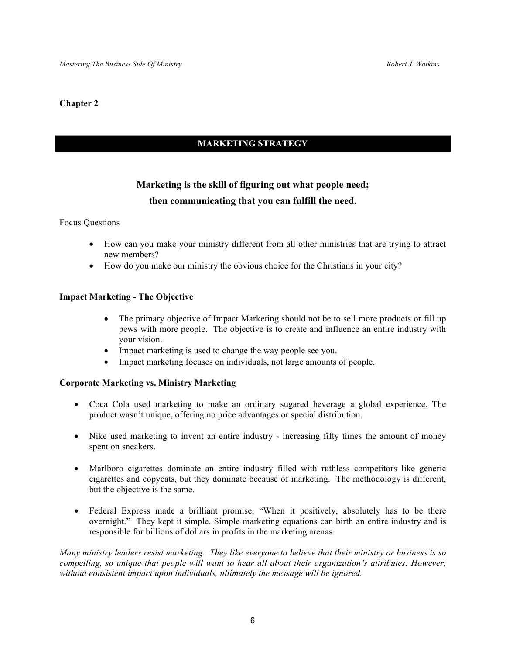# **MARKETING STRATEGY**

# **Marketing is the skill of figuring out what people need; then communicating that you can fulfill the need.**

#### Focus Questions

- How can you make your ministry different from all other ministries that are trying to attract new members?
- How do you make our ministry the obvious choice for the Christians in your city?

#### **Impact Marketing - The Objective**

- The primary objective of Impact Marketing should not be to sell more products or fill up pews with more people. The objective is to create and influence an entire industry with your vision.
- Impact marketing is used to change the way people see you.
- Impact marketing focuses on individuals, not large amounts of people.

#### **Corporate Marketing vs. Ministry Marketing**

- Coca Cola used marketing to make an ordinary sugared beverage a global experience. The product wasn't unique, offering no price advantages or special distribution.
- Nike used marketing to invent an entire industry increasing fifty times the amount of money spent on sneakers.
- Marlboro cigarettes dominate an entire industry filled with ruthless competitors like generic cigarettes and copycats, but they dominate because of marketing. The methodology is different, but the objective is the same.
- Federal Express made a brilliant promise, "When it positively, absolutely has to be there overnight." They kept it simple. Simple marketing equations can birth an entire industry and is responsible for billions of dollars in profits in the marketing arenas.

*Many ministry leaders resist marketing. They like everyone to believe that their ministry or business is so compelling, so unique that people will want to hear all about their organization's attributes. However, without consistent impact upon individuals, ultimately the message will be ignored.*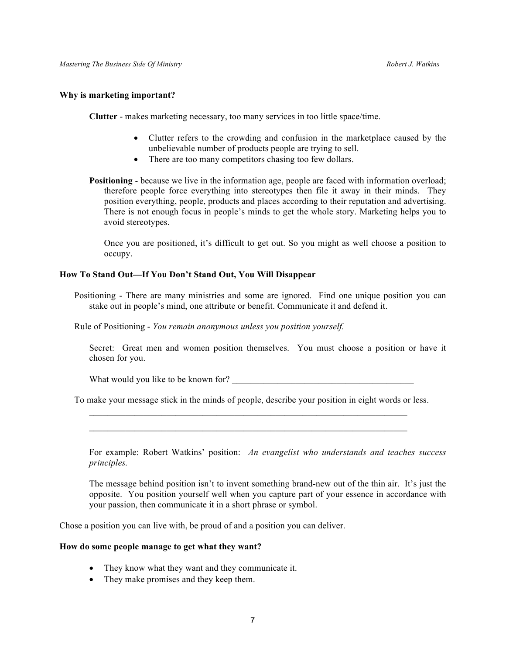#### **Why is marketing important?**

**Clutter** - makes marketing necessary, too many services in too little space/time.

- Clutter refers to the crowding and confusion in the marketplace caused by the unbelievable number of products people are trying to sell.
- There are too many competitors chasing too few dollars.
- **Positioning** because we live in the information age, people are faced with information overload; therefore people force everything into stereotypes then file it away in their minds. They position everything, people, products and places according to their reputation and advertising. There is not enough focus in people's minds to get the whole story. Marketing helps you to avoid stereotypes.

Once you are positioned, it's difficult to get out. So you might as well choose a position to occupy.

#### **How To Stand Out—If You Don't Stand Out, You Will Disappear**

Positioning - There are many ministries and some are ignored. Find one unique position you can stake out in people's mind, one attribute or benefit. Communicate it and defend it.

Rule of Positioning - *You remain anonymous unless you position yourself.*

Secret: Great men and women position themselves. You must choose a position or have it chosen for you.

What would you like to be known for?

To make your message stick in the minds of people, describe your position in eight words or less.  $\mathcal{L}_\text{max} = \mathcal{L}_\text{max} = \mathcal{L}_\text{max} = \mathcal{L}_\text{max} = \mathcal{L}_\text{max} = \mathcal{L}_\text{max} = \mathcal{L}_\text{max} = \mathcal{L}_\text{max} = \mathcal{L}_\text{max} = \mathcal{L}_\text{max} = \mathcal{L}_\text{max} = \mathcal{L}_\text{max} = \mathcal{L}_\text{max} = \mathcal{L}_\text{max} = \mathcal{L}_\text{max} = \mathcal{L}_\text{max} = \mathcal{L}_\text{max} = \mathcal{L}_\text{max} = \mathcal{$ 

 $\mathcal{L}_\mathcal{L} = \mathcal{L}_\mathcal{L} = \mathcal{L}_\mathcal{L} = \mathcal{L}_\mathcal{L} = \mathcal{L}_\mathcal{L} = \mathcal{L}_\mathcal{L} = \mathcal{L}_\mathcal{L} = \mathcal{L}_\mathcal{L} = \mathcal{L}_\mathcal{L} = \mathcal{L}_\mathcal{L} = \mathcal{L}_\mathcal{L} = \mathcal{L}_\mathcal{L} = \mathcal{L}_\mathcal{L} = \mathcal{L}_\mathcal{L} = \mathcal{L}_\mathcal{L} = \mathcal{L}_\mathcal{L} = \mathcal{L}_\mathcal{L}$ 

For example: Robert Watkins' position: *An evangelist who understands and teaches success principles.*

The message behind position isn't to invent something brand-new out of the thin air. It's just the opposite. You position yourself well when you capture part of your essence in accordance with your passion, then communicate it in a short phrase or symbol.

Chose a position you can live with, be proud of and a position you can deliver.

#### **How do some people manage to get what they want?**

- They know what they want and they communicate it.
- They make promises and they keep them.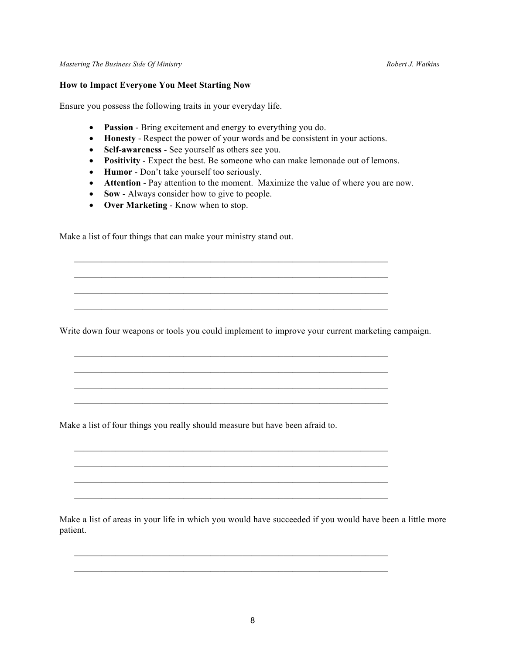#### **How to Impact Everyone You Meet Starting Now**

Ensure you possess the following traits in your everyday life.

- **Passion** Bring excitement and energy to everything you do.
- **Honesty** Respect the power of your words and be consistent in your actions.
- **Self-awareness** See yourself as others see you.
- **Positivity** Expect the best. Be someone who can make lemonade out of lemons.
- **Humor** Don't take yourself too seriously.
- **Attention** Pay attention to the moment. Maximize the value of where you are now.
- **Sow** Always consider how to give to people.
- **Over Marketing** Know when to stop.

Make a list of four things that can make your ministry stand out.

Write down four weapons or tools you could implement to improve your current marketing campaign.

 $\mathcal{L}_\mathcal{L} = \mathcal{L}_\mathcal{L} = \mathcal{L}_\mathcal{L} = \mathcal{L}_\mathcal{L} = \mathcal{L}_\mathcal{L} = \mathcal{L}_\mathcal{L} = \mathcal{L}_\mathcal{L} = \mathcal{L}_\mathcal{L} = \mathcal{L}_\mathcal{L} = \mathcal{L}_\mathcal{L} = \mathcal{L}_\mathcal{L} = \mathcal{L}_\mathcal{L} = \mathcal{L}_\mathcal{L} = \mathcal{L}_\mathcal{L} = \mathcal{L}_\mathcal{L} = \mathcal{L}_\mathcal{L} = \mathcal{L}_\mathcal{L}$  $\mathcal{L}_\text{max} = \mathcal{L}_\text{max} = \mathcal{L}_\text{max} = \mathcal{L}_\text{max} = \mathcal{L}_\text{max} = \mathcal{L}_\text{max} = \mathcal{L}_\text{max} = \mathcal{L}_\text{max} = \mathcal{L}_\text{max} = \mathcal{L}_\text{max} = \mathcal{L}_\text{max} = \mathcal{L}_\text{max} = \mathcal{L}_\text{max} = \mathcal{L}_\text{max} = \mathcal{L}_\text{max} = \mathcal{L}_\text{max} = \mathcal{L}_\text{max} = \mathcal{L}_\text{max} = \mathcal{$  $\mathcal{L}_\text{max}$  , and the contribution of the contribution of the contribution of the contribution of the contribution of the contribution of the contribution of the contribution of the contribution of the contribution of t  $\mathcal{L}_\text{max} = \mathcal{L}_\text{max} = \mathcal{L}_\text{max} = \mathcal{L}_\text{max} = \mathcal{L}_\text{max} = \mathcal{L}_\text{max} = \mathcal{L}_\text{max} = \mathcal{L}_\text{max} = \mathcal{L}_\text{max} = \mathcal{L}_\text{max} = \mathcal{L}_\text{max} = \mathcal{L}_\text{max} = \mathcal{L}_\text{max} = \mathcal{L}_\text{max} = \mathcal{L}_\text{max} = \mathcal{L}_\text{max} = \mathcal{L}_\text{max} = \mathcal{L}_\text{max} = \mathcal{$ 

 $\mathcal{L}_\text{max} = \mathcal{L}_\text{max} = \mathcal{L}_\text{max} = \mathcal{L}_\text{max} = \mathcal{L}_\text{max} = \mathcal{L}_\text{max} = \mathcal{L}_\text{max} = \mathcal{L}_\text{max} = \mathcal{L}_\text{max} = \mathcal{L}_\text{max} = \mathcal{L}_\text{max} = \mathcal{L}_\text{max} = \mathcal{L}_\text{max} = \mathcal{L}_\text{max} = \mathcal{L}_\text{max} = \mathcal{L}_\text{max} = \mathcal{L}_\text{max} = \mathcal{L}_\text{max} = \mathcal{$  $\mathcal{L}_\text{max} = \mathcal{L}_\text{max} = \mathcal{L}_\text{max} = \mathcal{L}_\text{max} = \mathcal{L}_\text{max} = \mathcal{L}_\text{max} = \mathcal{L}_\text{max} = \mathcal{L}_\text{max} = \mathcal{L}_\text{max} = \mathcal{L}_\text{max} = \mathcal{L}_\text{max} = \mathcal{L}_\text{max} = \mathcal{L}_\text{max} = \mathcal{L}_\text{max} = \mathcal{L}_\text{max} = \mathcal{L}_\text{max} = \mathcal{L}_\text{max} = \mathcal{L}_\text{max} = \mathcal{$  $\mathcal{L}_\text{max} = \mathcal{L}_\text{max} = \mathcal{L}_\text{max} = \mathcal{L}_\text{max} = \mathcal{L}_\text{max} = \mathcal{L}_\text{max} = \mathcal{L}_\text{max} = \mathcal{L}_\text{max} = \mathcal{L}_\text{max} = \mathcal{L}_\text{max} = \mathcal{L}_\text{max} = \mathcal{L}_\text{max} = \mathcal{L}_\text{max} = \mathcal{L}_\text{max} = \mathcal{L}_\text{max} = \mathcal{L}_\text{max} = \mathcal{L}_\text{max} = \mathcal{L}_\text{max} = \mathcal{$  $\mathcal{L}_\text{max} = \mathcal{L}_\text{max} = \mathcal{L}_\text{max} = \mathcal{L}_\text{max} = \mathcal{L}_\text{max} = \mathcal{L}_\text{max} = \mathcal{L}_\text{max} = \mathcal{L}_\text{max} = \mathcal{L}_\text{max} = \mathcal{L}_\text{max} = \mathcal{L}_\text{max} = \mathcal{L}_\text{max} = \mathcal{L}_\text{max} = \mathcal{L}_\text{max} = \mathcal{L}_\text{max} = \mathcal{L}_\text{max} = \mathcal{L}_\text{max} = \mathcal{L}_\text{max} = \mathcal{$ 

 $\mathcal{L}_\text{max} = \mathcal{L}_\text{max} = \mathcal{L}_\text{max} = \mathcal{L}_\text{max} = \mathcal{L}_\text{max} = \mathcal{L}_\text{max} = \mathcal{L}_\text{max} = \mathcal{L}_\text{max} = \mathcal{L}_\text{max} = \mathcal{L}_\text{max} = \mathcal{L}_\text{max} = \mathcal{L}_\text{max} = \mathcal{L}_\text{max} = \mathcal{L}_\text{max} = \mathcal{L}_\text{max} = \mathcal{L}_\text{max} = \mathcal{L}_\text{max} = \mathcal{L}_\text{max} = \mathcal{$  $\mathcal{L}_\text{max} = \mathcal{L}_\text{max} = \mathcal{L}_\text{max} = \mathcal{L}_\text{max} = \mathcal{L}_\text{max} = \mathcal{L}_\text{max} = \mathcal{L}_\text{max} = \mathcal{L}_\text{max} = \mathcal{L}_\text{max} = \mathcal{L}_\text{max} = \mathcal{L}_\text{max} = \mathcal{L}_\text{max} = \mathcal{L}_\text{max} = \mathcal{L}_\text{max} = \mathcal{L}_\text{max} = \mathcal{L}_\text{max} = \mathcal{L}_\text{max} = \mathcal{L}_\text{max} = \mathcal{$  $\mathcal{L}_\text{max} = \mathcal{L}_\text{max} = \mathcal{L}_\text{max} = \mathcal{L}_\text{max} = \mathcal{L}_\text{max} = \mathcal{L}_\text{max} = \mathcal{L}_\text{max} = \mathcal{L}_\text{max} = \mathcal{L}_\text{max} = \mathcal{L}_\text{max} = \mathcal{L}_\text{max} = \mathcal{L}_\text{max} = \mathcal{L}_\text{max} = \mathcal{L}_\text{max} = \mathcal{L}_\text{max} = \mathcal{L}_\text{max} = \mathcal{L}_\text{max} = \mathcal{L}_\text{max} = \mathcal{$ 

 $\mathcal{L}_\text{max} = \mathcal{L}_\text{max} = \mathcal{L}_\text{max} = \mathcal{L}_\text{max} = \mathcal{L}_\text{max} = \mathcal{L}_\text{max} = \mathcal{L}_\text{max} = \mathcal{L}_\text{max} = \mathcal{L}_\text{max} = \mathcal{L}_\text{max} = \mathcal{L}_\text{max} = \mathcal{L}_\text{max} = \mathcal{L}_\text{max} = \mathcal{L}_\text{max} = \mathcal{L}_\text{max} = \mathcal{L}_\text{max} = \mathcal{L}_\text{max} = \mathcal{L}_\text{max} = \mathcal{$  $\mathcal{L}_\text{max} = \mathcal{L}_\text{max} = \mathcal{L}_\text{max} = \mathcal{L}_\text{max} = \mathcal{L}_\text{max} = \mathcal{L}_\text{max} = \mathcal{L}_\text{max} = \mathcal{L}_\text{max} = \mathcal{L}_\text{max} = \mathcal{L}_\text{max} = \mathcal{L}_\text{max} = \mathcal{L}_\text{max} = \mathcal{L}_\text{max} = \mathcal{L}_\text{max} = \mathcal{L}_\text{max} = \mathcal{L}_\text{max} = \mathcal{L}_\text{max} = \mathcal{L}_\text{max} = \mathcal{$ 

Make a list of four things you really should measure but have been afraid to.

Make a list of areas in your life in which you would have succeeded if you would have been a little more patient.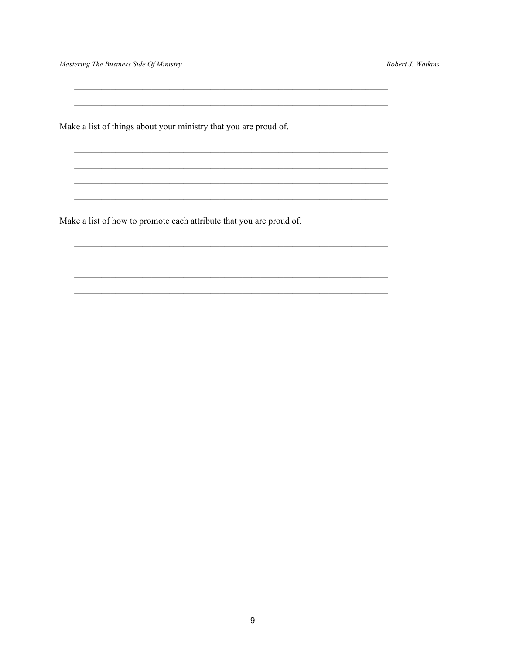Mastering The Business Side Of Ministry

 $\overline{\phantom{a}}$ 

Robert J. Watkins

Make a list of things about your ministry that you are proud of.

Make a list of how to promote each attribute that you are proud of.

 $\boldsymbol{9}$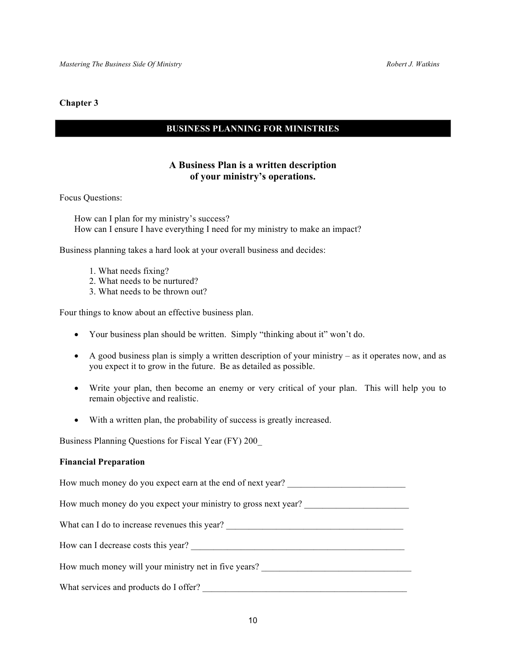# **BUSINESS PLANNING FOR MINISTRIES**

# **A Business Plan is a written description of your ministry's operations.**

Focus Questions:

How can I plan for my ministry's success? How can I ensure I have everything I need for my ministry to make an impact?

Business planning takes a hard look at your overall business and decides:

- 1. What needs fixing?
- 2. What needs to be nurtured?
- 3. What needs to be thrown out?

Four things to know about an effective business plan.

- Your business plan should be written. Simply "thinking about it" won't do.
- A good business plan is simply a written description of your ministry as it operates now, and as you expect it to grow in the future. Be as detailed as possible.
- Write your plan, then become an enemy or very critical of your plan. This will help you to remain objective and realistic.
- With a written plan, the probability of success is greatly increased.

Business Planning Questions for Fiscal Year (FY) 200\_

#### **Financial Preparation**

How much money do you expect earn at the end of next year?

How much money do you expect your ministry to gross next year?

What can I do to increase revenues this year?

How can I decrease costs this year?

How much money will your ministry net in five years?

What services and products do I offer?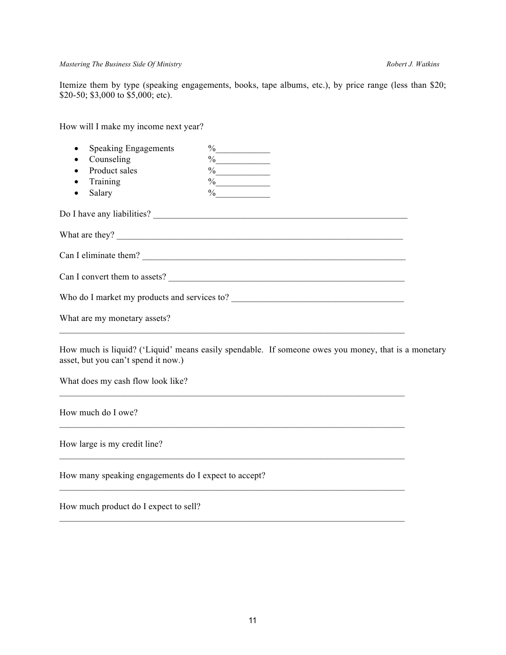#### *Mastering The Business Side Of Ministry Robert J. Watkins*

Itemize them by type (speaking engagements, books, tape albums, etc.), by price range (less than \$20; \$20-50; \$3,000 to \$5,000; etc).

How will I make my income next year?

| <b>Speaking Engagements</b><br>$\bullet$             | $\frac{9}{6}$                                                                                                                                                                                                                                                                                                                                                                                                         |  |
|------------------------------------------------------|-----------------------------------------------------------------------------------------------------------------------------------------------------------------------------------------------------------------------------------------------------------------------------------------------------------------------------------------------------------------------------------------------------------------------|--|
| Counseling                                           | $\frac{9}{6}$                                                                                                                                                                                                                                                                                                                                                                                                         |  |
| Product sales                                        | $\%$                                                                                                                                                                                                                                                                                                                                                                                                                  |  |
| Training                                             | $\%$                                                                                                                                                                                                                                                                                                                                                                                                                  |  |
| Salary                                               | $\%$                                                                                                                                                                                                                                                                                                                                                                                                                  |  |
|                                                      |                                                                                                                                                                                                                                                                                                                                                                                                                       |  |
|                                                      | What are they? $\frac{1}{\sqrt{1-\frac{1}{\sqrt{1-\frac{1}{\sqrt{1-\frac{1}{\sqrt{1-\frac{1}{\sqrt{1-\frac{1}{\sqrt{1-\frac{1}{\sqrt{1-\frac{1}{\sqrt{1-\frac{1}{\sqrt{1-\frac{1}{\sqrt{1-\frac{1}{\sqrt{1-\frac{1}{\sqrt{1-\frac{1}{\sqrt{1-\frac{1}{\sqrt{1-\frac{1}{\sqrt{1-\frac{1}{\sqrt{1-\frac{1}{\sqrt{1-\frac{1}{\sqrt{1-\frac{1}{\sqrt{1-\frac{1}{\sqrt{1-\frac{1}{\sqrt{1-\frac{1}{\sqrt{1-\frac{1}{\sqrt$ |  |
|                                                      |                                                                                                                                                                                                                                                                                                                                                                                                                       |  |
|                                                      | Can I convert them to assets?                                                                                                                                                                                                                                                                                                                                                                                         |  |
|                                                      |                                                                                                                                                                                                                                                                                                                                                                                                                       |  |
| What are my monetary assets?                         |                                                                                                                                                                                                                                                                                                                                                                                                                       |  |
| asset, but you can't spend it now.)                  | How much is liquid? ('Liquid' means easily spendable. If someone owes you money, that is a monetary                                                                                                                                                                                                                                                                                                                   |  |
| What does my cash flow look like?                    |                                                                                                                                                                                                                                                                                                                                                                                                                       |  |
| How much do I owe?                                   | <u> 1989 - Johann Stoff, amerikansk politiker (d. 1989)</u>                                                                                                                                                                                                                                                                                                                                                           |  |
| How large is my credit line?                         |                                                                                                                                                                                                                                                                                                                                                                                                                       |  |
| How many speaking engagements do I expect to accept? | <u> 1989 - Jan James Sand, Amerikaansk politiker (* 1908)</u>                                                                                                                                                                                                                                                                                                                                                         |  |
| How much product do I expect to sell?                |                                                                                                                                                                                                                                                                                                                                                                                                                       |  |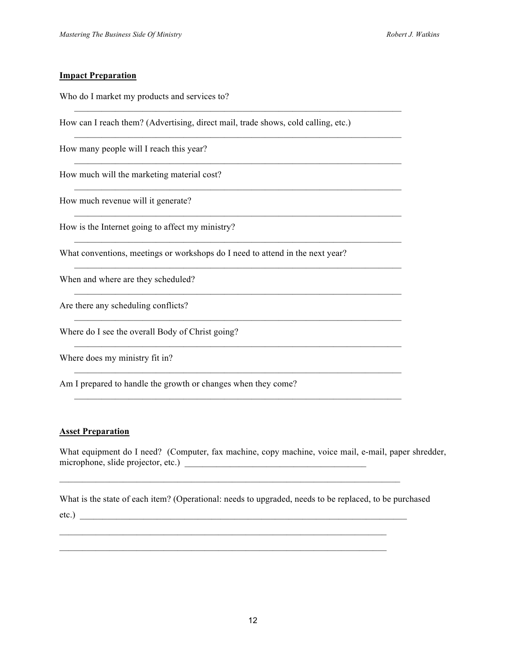#### **Impact Preparation**

Who do I market my products and services to?

How can I reach them? (Advertising, direct mail, trade shows, cold calling, etc.)

 $\mathcal{L}_\text{max} = \mathcal{L}_\text{max} = \mathcal{L}_\text{max} = \mathcal{L}_\text{max} = \mathcal{L}_\text{max} = \mathcal{L}_\text{max} = \mathcal{L}_\text{max} = \mathcal{L}_\text{max} = \mathcal{L}_\text{max} = \mathcal{L}_\text{max} = \mathcal{L}_\text{max} = \mathcal{L}_\text{max} = \mathcal{L}_\text{max} = \mathcal{L}_\text{max} = \mathcal{L}_\text{max} = \mathcal{L}_\text{max} = \mathcal{L}_\text{max} = \mathcal{L}_\text{max} = \mathcal{$ 

 $\mathcal{L}_\text{max} = \mathcal{L}_\text{max} = \mathcal{L}_\text{max} = \mathcal{L}_\text{max} = \mathcal{L}_\text{max} = \mathcal{L}_\text{max} = \mathcal{L}_\text{max} = \mathcal{L}_\text{max} = \mathcal{L}_\text{max} = \mathcal{L}_\text{max} = \mathcal{L}_\text{max} = \mathcal{L}_\text{max} = \mathcal{L}_\text{max} = \mathcal{L}_\text{max} = \mathcal{L}_\text{max} = \mathcal{L}_\text{max} = \mathcal{L}_\text{max} = \mathcal{L}_\text{max} = \mathcal{$ 

 $\mathcal{L}_\text{max} = \mathcal{L}_\text{max} = \mathcal{L}_\text{max} = \mathcal{L}_\text{max} = \mathcal{L}_\text{max} = \mathcal{L}_\text{max} = \mathcal{L}_\text{max} = \mathcal{L}_\text{max} = \mathcal{L}_\text{max} = \mathcal{L}_\text{max} = \mathcal{L}_\text{max} = \mathcal{L}_\text{max} = \mathcal{L}_\text{max} = \mathcal{L}_\text{max} = \mathcal{L}_\text{max} = \mathcal{L}_\text{max} = \mathcal{L}_\text{max} = \mathcal{L}_\text{max} = \mathcal{$ 

 $\mathcal{L}_\text{max} = \mathcal{L}_\text{max} = \mathcal{L}_\text{max} = \mathcal{L}_\text{max} = \mathcal{L}_\text{max} = \mathcal{L}_\text{max} = \mathcal{L}_\text{max} = \mathcal{L}_\text{max} = \mathcal{L}_\text{max} = \mathcal{L}_\text{max} = \mathcal{L}_\text{max} = \mathcal{L}_\text{max} = \mathcal{L}_\text{max} = \mathcal{L}_\text{max} = \mathcal{L}_\text{max} = \mathcal{L}_\text{max} = \mathcal{L}_\text{max} = \mathcal{L}_\text{max} = \mathcal{$ 

 $\mathcal{L}_\text{max} = \mathcal{L}_\text{max} = \mathcal{L}_\text{max} = \mathcal{L}_\text{max} = \mathcal{L}_\text{max} = \mathcal{L}_\text{max} = \mathcal{L}_\text{max} = \mathcal{L}_\text{max} = \mathcal{L}_\text{max} = \mathcal{L}_\text{max} = \mathcal{L}_\text{max} = \mathcal{L}_\text{max} = \mathcal{L}_\text{max} = \mathcal{L}_\text{max} = \mathcal{L}_\text{max} = \mathcal{L}_\text{max} = \mathcal{L}_\text{max} = \mathcal{L}_\text{max} = \mathcal{$ 

 $\mathcal{L}_\text{max} = \mathcal{L}_\text{max} = \mathcal{L}_\text{max} = \mathcal{L}_\text{max} = \mathcal{L}_\text{max} = \mathcal{L}_\text{max} = \mathcal{L}_\text{max} = \mathcal{L}_\text{max} = \mathcal{L}_\text{max} = \mathcal{L}_\text{max} = \mathcal{L}_\text{max} = \mathcal{L}_\text{max} = \mathcal{L}_\text{max} = \mathcal{L}_\text{max} = \mathcal{L}_\text{max} = \mathcal{L}_\text{max} = \mathcal{L}_\text{max} = \mathcal{L}_\text{max} = \mathcal{$ 

 $\mathcal{L}_\text{max} = \mathcal{L}_\text{max} = \mathcal{L}_\text{max} = \mathcal{L}_\text{max} = \mathcal{L}_\text{max} = \mathcal{L}_\text{max} = \mathcal{L}_\text{max} = \mathcal{L}_\text{max} = \mathcal{L}_\text{max} = \mathcal{L}_\text{max} = \mathcal{L}_\text{max} = \mathcal{L}_\text{max} = \mathcal{L}_\text{max} = \mathcal{L}_\text{max} = \mathcal{L}_\text{max} = \mathcal{L}_\text{max} = \mathcal{L}_\text{max} = \mathcal{L}_\text{max} = \mathcal{$ 

 $\mathcal{L}_\text{max}$  , and the contribution of the contribution of the contribution of the contribution of the contribution of the contribution of the contribution of the contribution of the contribution of the contribution of t

 $\mathcal{L}_\text{max} = \mathcal{L}_\text{max} = \mathcal{L}_\text{max} = \mathcal{L}_\text{max} = \mathcal{L}_\text{max} = \mathcal{L}_\text{max} = \mathcal{L}_\text{max} = \mathcal{L}_\text{max} = \mathcal{L}_\text{max} = \mathcal{L}_\text{max} = \mathcal{L}_\text{max} = \mathcal{L}_\text{max} = \mathcal{L}_\text{max} = \mathcal{L}_\text{max} = \mathcal{L}_\text{max} = \mathcal{L}_\text{max} = \mathcal{L}_\text{max} = \mathcal{L}_\text{max} = \mathcal{$ 

How many people will I reach this year?

How much will the marketing material cost?

How much revenue will it generate?

How is the Internet going to affect my ministry?

What conventions, meetings or workshops do I need to attend in the next year?

When and where are they scheduled?

Are there any scheduling conflicts?

Where do I see the overall Body of Christ going?

Where does my ministry fit in?

Am I prepared to handle the growth or changes when they come?

#### **Asset Preparation**

What equipment do I need? (Computer, fax machine, copy machine, voice mail, e-mail, paper shredder, microphone, slide projector, etc.) \_\_\_\_\_\_\_\_\_\_\_\_\_\_\_\_\_\_\_\_\_\_\_\_\_\_\_\_\_\_\_\_\_\_\_\_\_\_\_\_

What is the state of each item? (Operational: needs to upgraded, needs to be replaced, to be purchased

 $\mathcal{L}_\text{max} = \mathcal{L}_\text{max} = \mathcal{L}_\text{max} = \mathcal{L}_\text{max} = \mathcal{L}_\text{max} = \mathcal{L}_\text{max} = \mathcal{L}_\text{max} = \mathcal{L}_\text{max} = \mathcal{L}_\text{max} = \mathcal{L}_\text{max} = \mathcal{L}_\text{max} = \mathcal{L}_\text{max} = \mathcal{L}_\text{max} = \mathcal{L}_\text{max} = \mathcal{L}_\text{max} = \mathcal{L}_\text{max} = \mathcal{L}_\text{max} = \mathcal{L}_\text{max} = \mathcal{$ 

 $\mathcal{L}_\text{max} = \mathcal{L}_\text{max} = \mathcal{L}_\text{max} = \mathcal{L}_\text{max} = \mathcal{L}_\text{max} = \mathcal{L}_\text{max} = \mathcal{L}_\text{max} = \mathcal{L}_\text{max} = \mathcal{L}_\text{max} = \mathcal{L}_\text{max} = \mathcal{L}_\text{max} = \mathcal{L}_\text{max} = \mathcal{L}_\text{max} = \mathcal{L}_\text{max} = \mathcal{L}_\text{max} = \mathcal{L}_\text{max} = \mathcal{L}_\text{max} = \mathcal{L}_\text{max} = \mathcal{$  $\mathcal{L}_\text{max} = \mathcal{L}_\text{max} = \mathcal{L}_\text{max} = \mathcal{L}_\text{max} = \mathcal{L}_\text{max} = \mathcal{L}_\text{max} = \mathcal{L}_\text{max} = \mathcal{L}_\text{max} = \mathcal{L}_\text{max} = \mathcal{L}_\text{max} = \mathcal{L}_\text{max} = \mathcal{L}_\text{max} = \mathcal{L}_\text{max} = \mathcal{L}_\text{max} = \mathcal{L}_\text{max} = \mathcal{L}_\text{max} = \mathcal{L}_\text{max} = \mathcal{L}_\text{max} = \mathcal{$ 

etc.)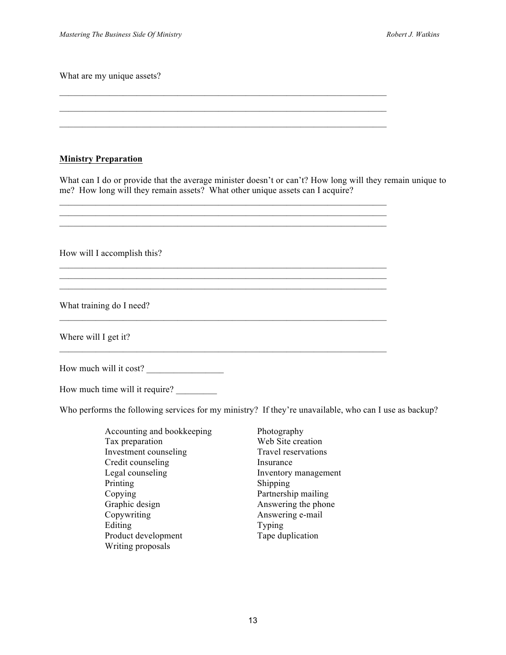What are my unique assets?

#### **Ministry Preparation**

What can I do or provide that the average minister doesn't or can't? How long will they remain unique to me? How long will they remain assets? What other unique assets can I acquire?

| How will I accomplish this? |
|-----------------------------|
|                             |
|                             |
| What training do I need?    |
| Where will I get it?        |
| How much will it cost?      |

 $\mathcal{L}_\text{max} = \mathcal{L}_\text{max} = \mathcal{L}_\text{max} = \mathcal{L}_\text{max} = \mathcal{L}_\text{max} = \mathcal{L}_\text{max} = \mathcal{L}_\text{max} = \mathcal{L}_\text{max} = \mathcal{L}_\text{max} = \mathcal{L}_\text{max} = \mathcal{L}_\text{max} = \mathcal{L}_\text{max} = \mathcal{L}_\text{max} = \mathcal{L}_\text{max} = \mathcal{L}_\text{max} = \mathcal{L}_\text{max} = \mathcal{L}_\text{max} = \mathcal{L}_\text{max} = \mathcal{$  $\mathcal{L}_\text{max} = \mathcal{L}_\text{max} = \mathcal{L}_\text{max} = \mathcal{L}_\text{max} = \mathcal{L}_\text{max} = \mathcal{L}_\text{max} = \mathcal{L}_\text{max} = \mathcal{L}_\text{max} = \mathcal{L}_\text{max} = \mathcal{L}_\text{max} = \mathcal{L}_\text{max} = \mathcal{L}_\text{max} = \mathcal{L}_\text{max} = \mathcal{L}_\text{max} = \mathcal{L}_\text{max} = \mathcal{L}_\text{max} = \mathcal{L}_\text{max} = \mathcal{L}_\text{max} = \mathcal{$ 

How much time will it require?

Who performs the following services for my ministry? If they're unavailable, who can I use as backup?

| Accounting and bookkeeping |
|----------------------------|
| Tax preparation            |
| Investment counseling      |
| Credit counseling          |
| Legal counseling           |
| Printing                   |
| Copying                    |
| Graphic design             |
| Copywriting                |
| Editing                    |
| Product development        |
| Writing proposals          |
|                            |

Photography Web Site creation Travel reservations Insurance Inventory management Shipping Partnership mailing Answering the phone Answering e-mail Typing Tape duplication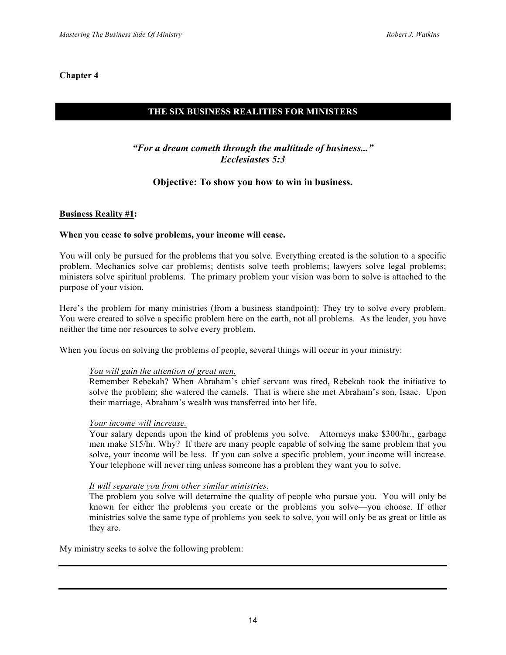# **THE SIX BUSINESS REALITIES FOR MINISTERS**

# *"For a dream cometh through the multitude of business..." Ecclesiastes 5:3*

# **Objective: To show you how to win in business.**

#### **Business Reality #1:**

#### **When you cease to solve problems, your income will cease.**

You will only be pursued for the problems that you solve. Everything created is the solution to a specific problem. Mechanics solve car problems; dentists solve teeth problems; lawyers solve legal problems; ministers solve spiritual problems. The primary problem your vision was born to solve is attached to the purpose of your vision.

Here's the problem for many ministries (from a business standpoint): They try to solve every problem. You were created to solve a specific problem here on the earth, not all problems. As the leader, you have neither the time nor resources to solve every problem.

When you focus on solving the problems of people, several things will occur in your ministry:

#### *You will gain the attention of great men.*

Remember Rebekah? When Abraham's chief servant was tired, Rebekah took the initiative to solve the problem; she watered the camels. That is where she met Abraham's son, Isaac. Upon their marriage, Abraham's wealth was transferred into her life.

#### *Your income will increase.*

Your salary depends upon the kind of problems you solve. Attorneys make \$300/hr., garbage men make \$15/hr. Why? If there are many people capable of solving the same problem that you solve, your income will be less. If you can solve a specific problem, your income will increase. Your telephone will never ring unless someone has a problem they want you to solve.

#### *It will separate you from other similar ministries.*

The problem you solve will determine the quality of people who pursue you. You will only be known for either the problems you create or the problems you solve—you choose. If other ministries solve the same type of problems you seek to solve, you will only be as great or little as they are.

My ministry seeks to solve the following problem: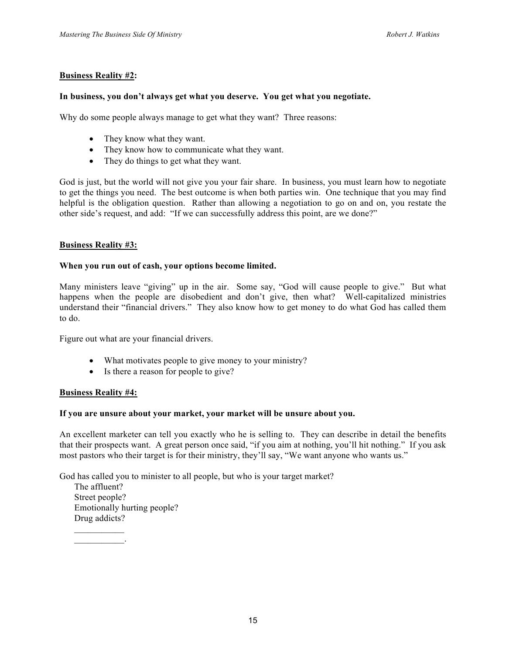#### **Business Reality #2:**

#### **In business, you don't always get what you deserve. You get what you negotiate.**

Why do some people always manage to get what they want? Three reasons:

- They know what they want.
- They know how to communicate what they want.
- They do things to get what they want.

God is just, but the world will not give you your fair share. In business, you must learn how to negotiate to get the things you need. The best outcome is when both parties win. One technique that you may find helpful is the obligation question. Rather than allowing a negotiation to go on and on, you restate the other side's request, and add: "If we can successfully address this point, are we done?"

#### **Business Reality #3:**

#### **When you run out of cash, your options become limited.**

Many ministers leave "giving" up in the air. Some say, "God will cause people to give." But what happens when the people are disobedient and don't give, then what? Well-capitalized ministries understand their "financial drivers." They also know how to get money to do what God has called them to do.

Figure out what are your financial drivers.

- What motivates people to give money to your ministry?
- Is there a reason for people to give?

#### **Business Reality #4:**

 $\mathcal{L}_\text{max}$  and  $\mathcal{L}_\text{max}$ 

#### **If you are unsure about your market, your market will be unsure about you.**

An excellent marketer can tell you exactly who he is selling to. They can describe in detail the benefits that their prospects want. A great person once said, "if you aim at nothing, you'll hit nothing." If you ask most pastors who their target is for their ministry, they'll say, "We want anyone who wants us."

God has called you to minister to all people, but who is your target market?

The affluent? Street people? Emotionally hurting people? Drug addicts?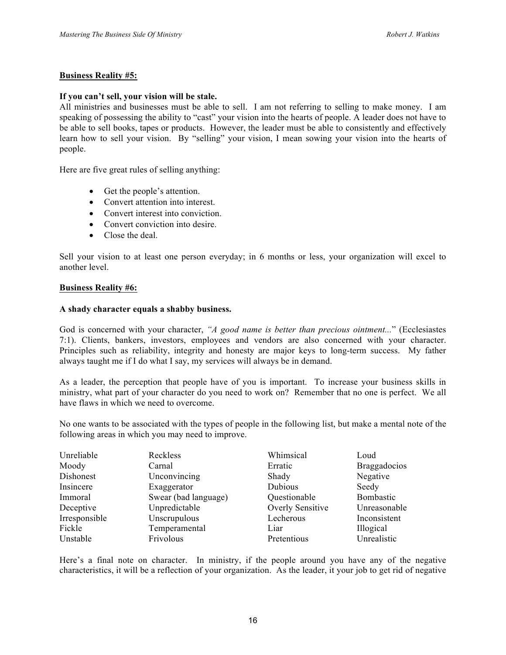#### **Business Reality #5:**

#### **If you can't sell, your vision will be stale.**

All ministries and businesses must be able to sell. I am not referring to selling to make money. I am speaking of possessing the ability to "cast" your vision into the hearts of people. A leader does not have to be able to sell books, tapes or products. However, the leader must be able to consistently and effectively learn how to sell your vision. By "selling" your vision, I mean sowing your vision into the hearts of people.

Here are five great rules of selling anything:

- Get the people's attention.
- Convert attention into interest.
- Convert interest into conviction.
- Convert conviction into desire.
- Close the deal.

Sell your vision to at least one person everyday; in 6 months or less, your organization will excel to another level.

#### **Business Reality #6:**

#### **A shady character equals a shabby business.**

God is concerned with your character, *"A good name is better than precious ointment...*" (Ecclesiastes 7:1). Clients, bankers, investors, employees and vendors are also concerned with your character. Principles such as reliability, integrity and honesty are major keys to long-term success. My father always taught me if I do what I say, my services will always be in demand.

As a leader, the perception that people have of you is important. To increase your business skills in ministry, what part of your character do you need to work on? Remember that no one is perfect. We all have flaws in which we need to overcome.

No one wants to be associated with the types of people in the following list, but make a mental note of the following areas in which you may need to improve.

| Unreliable    | Reckless             | Whimsical        | Loud                |
|---------------|----------------------|------------------|---------------------|
| Moody         | Carnal               | Erratic          | <b>Braggadocios</b> |
| Dishonest     | Unconvincing         | Shady            | Negative            |
| Insincere     | Exaggerator          | Dubious          | Seedy               |
| Immoral       | Swear (bad language) | Questionable     | Bombastic           |
| Deceptive     | Unpredictable        | Overly Sensitive | Unreasonable        |
| Irresponsible | Unscrupulous         | Lecherous        | Inconsistent        |
| Fickle        | Temperamental        | Liar             | Illogical           |
| Unstable      | Frivolous            | Pretentious      | Unrealistic         |

Here's a final note on character. In ministry, if the people around you have any of the negative characteristics, it will be a reflection of your organization. As the leader, it your job to get rid of negative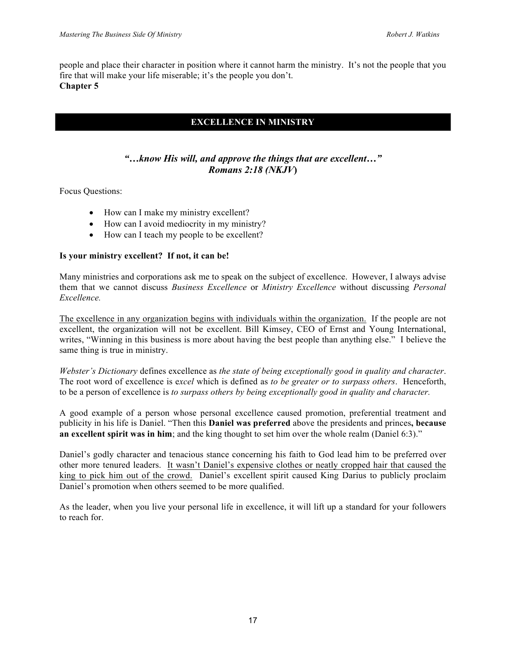people and place their character in position where it cannot harm the ministry. It's not the people that you fire that will make your life miserable; it's the people you don't. **Chapter 5**

# **EXCELLENCE IN MINISTRY**

# *"…know His will, and approve the things that are excellent…" Romans 2:18 (NKJV***)**

Focus Questions:

- How can I make my ministry excellent?
- How can I avoid mediocrity in my ministry?
- How can I teach my people to be excellent?

#### **Is your ministry excellent? If not, it can be!**

Many ministries and corporations ask me to speak on the subject of excellence. However, I always advise them that we cannot discuss *Business Excellence* or *Ministry Excellence* without discussing *Personal Excellence.*

The excellence in any organization begins with individuals within the organization. If the people are not excellent, the organization will not be excellent. Bill Kimsey, CEO of Ernst and Young International, writes, "Winning in this business is more about having the best people than anything else." I believe the same thing is true in ministry.

*Webster's Dictionary* defines excellence as *the state of being exceptionally good in quality and character*. The root word of excellence is e*xcel* which is defined as *to be greater or to surpass others*. Henceforth, to be a person of excellence is *to surpass others by being exceptionally good in quality and character.* 

A good example of a person whose personal excellence caused promotion, preferential treatment and publicity in his life is Daniel. "Then this **Daniel was preferred** above the presidents and princes**, because an excellent spirit was in him**; and the king thought to set him over the whole realm (Daniel 6:3)."

Daniel's godly character and tenacious stance concerning his faith to God lead him to be preferred over other more tenured leaders. It wasn't Daniel's expensive clothes or neatly cropped hair that caused the king to pick him out of the crowd. Daniel's excellent spirit caused King Darius to publicly proclaim Daniel's promotion when others seemed to be more qualified.

As the leader, when you live your personal life in excellence, it will lift up a standard for your followers to reach for.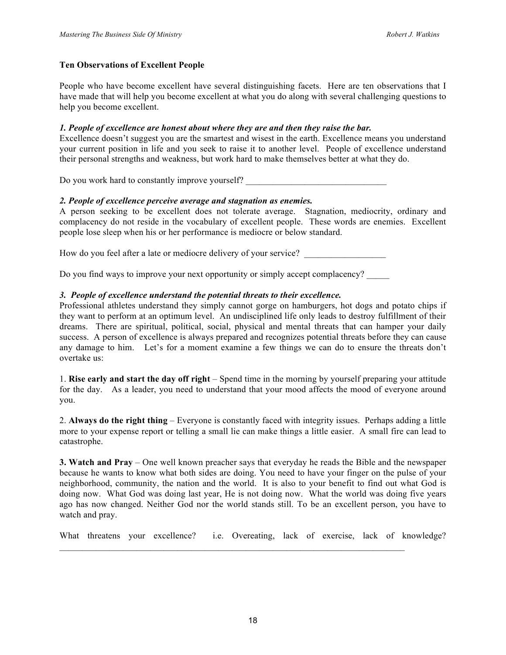#### **Ten Observations of Excellent People**

People who have become excellent have several distinguishing facets.Here are ten observations that I have made that will help you become excellent at what you do along with several challenging questions to help you become excellent.

#### *1. People of excellence are honest about where they are and then they raise the bar.*

Excellence doesn't suggest you are the smartest and wisest in the earth. Excellence means you understand your current position in life and you seek to raise it to another level. People of excellence understand their personal strengths and weakness, but work hard to make themselves better at what they do.

Do you work hard to constantly improve yourself?

#### *2. People of excellence perceive average and stagnation as enemies.*

A person seeking to be excellent does not tolerate average. Stagnation, mediocrity, ordinary and complacency do not reside in the vocabulary of excellent people. These words are enemies. Excellent people lose sleep when his or her performance is mediocre or below standard.

How do you feel after a late or mediocre delivery of your service?

Do you find ways to improve your next opportunity or simply accept complacency?

#### *3. People of excellence understand the potential threats to their excellence.*

Professional athletes understand they simply cannot gorge on hamburgers, hot dogs and potato chips if they want to perform at an optimum level. An undisciplined life only leads to destroy fulfillment of their dreams. There are spiritual, political, social, physical and mental threats that can hamper your daily success. A person of excellence is always prepared and recognizes potential threats before they can cause any damage to him. Let's for a moment examine a few things we can do to ensure the threats don't overtake us:

1. **Rise early and start the day off right** – Spend time in the morning by yourself preparing your attitude for the day. As a leader, you need to understand that your mood affects the mood of everyone around you.

2. **Always do the right thing** – Everyone is constantly faced with integrity issues. Perhaps adding a little more to your expense report or telling a small lie can make things a little easier. A small fire can lead to catastrophe.

**3. Watch and Pray** – One well known preacher says that everyday he reads the Bible and the newspaper because he wants to know what both sides are doing. You need to have your finger on the pulse of your neighborhood, community, the nation and the world. It is also to your benefit to find out what God is doing now. What God was doing last year, He is not doing now. What the world was doing five years ago has now changed. Neither God nor the world stands still. To be an excellent person, you have to watch and pray.

What threatens your excellence? i.e. Overeating, lack of exercise, lack of knowledge?

 $\mathcal{L}_\mathcal{L} = \{ \mathcal{L}_\mathcal{L} = \{ \mathcal{L}_\mathcal{L} = \{ \mathcal{L}_\mathcal{L} = \{ \mathcal{L}_\mathcal{L} = \{ \mathcal{L}_\mathcal{L} = \{ \mathcal{L}_\mathcal{L} = \{ \mathcal{L}_\mathcal{L} = \{ \mathcal{L}_\mathcal{L} = \{ \mathcal{L}_\mathcal{L} = \{ \mathcal{L}_\mathcal{L} = \{ \mathcal{L}_\mathcal{L} = \{ \mathcal{L}_\mathcal{L} = \{ \mathcal{L}_\mathcal{L} = \{ \mathcal{L}_\mathcal{$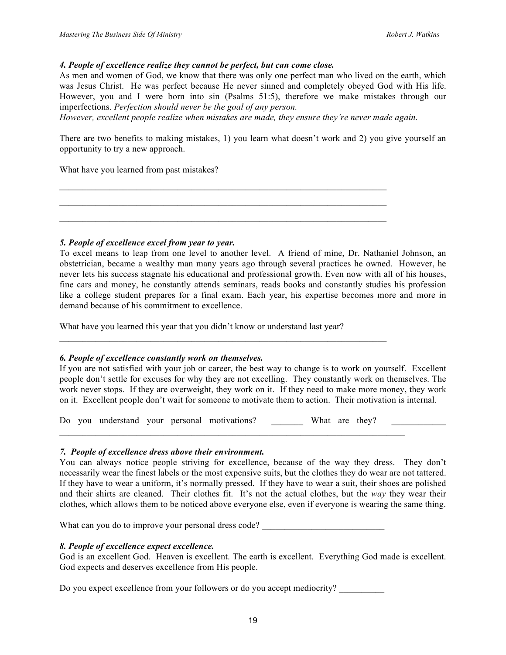#### *4. People of excellence realize they cannot be perfect, but can come close.*

As men and women of God, we know that there was only one perfect man who lived on the earth, which was Jesus Christ. He was perfect because He never sinned and completely obeyed God with His life. However, you and I were born into sin (Psalms 51:5), therefore we make mistakes through our imperfections. *Perfection should never be the goal of any person.* 

*However, excellent people realize when mistakes are made, they ensure they're never made again*.

 $\mathcal{L}_\text{max} = \mathcal{L}_\text{max} = \mathcal{L}_\text{max} = \mathcal{L}_\text{max} = \mathcal{L}_\text{max} = \mathcal{L}_\text{max} = \mathcal{L}_\text{max} = \mathcal{L}_\text{max} = \mathcal{L}_\text{max} = \mathcal{L}_\text{max} = \mathcal{L}_\text{max} = \mathcal{L}_\text{max} = \mathcal{L}_\text{max} = \mathcal{L}_\text{max} = \mathcal{L}_\text{max} = \mathcal{L}_\text{max} = \mathcal{L}_\text{max} = \mathcal{L}_\text{max} = \mathcal{$  $\mathcal{L}_\text{max}$  , and the contribution of the contribution of the contribution of the contribution of the contribution of the contribution of the contribution of the contribution of the contribution of the contribution of t

There are two benefits to making mistakes, 1) you learn what doesn't work and 2) you give yourself an opportunity to try a new approach.

What have you learned from past mistakes?

*5. People of excellence excel from year to year.*

To excel means to leap from one level to another level. A friend of mine, Dr. Nathaniel Johnson, an obstetrician, became a wealthy man many years ago through several practices he owned. However, he never lets his success stagnate his educational and professional growth. Even now with all of his houses, fine cars and money, he constantly attends seminars, reads books and constantly studies his profession like a college student prepares for a final exam. Each year, his expertise becomes more and more in demand because of his commitment to excellence.

What have you learned this year that you didn't know or understand last year?

#### *6. People of excellence constantly work on themselves.*

If you are not satisfied with your job or career, the best way to change is to work on yourself. Excellent people don't settle for excuses for why they are not excelling. They constantly work on themselves. The work never stops. If they are overweight, they work on it. If they need to make more money, they work on it. Excellent people don't wait for someone to motivate them to action. Their motivation is internal.

Do you understand your personal motivations? What are they?

 $\mathcal{L}_\text{max} = \mathcal{L}_\text{max} = \mathcal{L}_\text{max} = \mathcal{L}_\text{max} = \mathcal{L}_\text{max} = \mathcal{L}_\text{max} = \mathcal{L}_\text{max} = \mathcal{L}_\text{max} = \mathcal{L}_\text{max} = \mathcal{L}_\text{max} = \mathcal{L}_\text{max} = \mathcal{L}_\text{max} = \mathcal{L}_\text{max} = \mathcal{L}_\text{max} = \mathcal{L}_\text{max} = \mathcal{L}_\text{max} = \mathcal{L}_\text{max} = \mathcal{L}_\text{max} = \mathcal{$ 

 $\mathcal{L}_\text{max} = \mathcal{L}_\text{max} = \mathcal{L}_\text{max} = \mathcal{L}_\text{max} = \mathcal{L}_\text{max} = \mathcal{L}_\text{max} = \mathcal{L}_\text{max} = \mathcal{L}_\text{max} = \mathcal{L}_\text{max} = \mathcal{L}_\text{max} = \mathcal{L}_\text{max} = \mathcal{L}_\text{max} = \mathcal{L}_\text{max} = \mathcal{L}_\text{max} = \mathcal{L}_\text{max} = \mathcal{L}_\text{max} = \mathcal{L}_\text{max} = \mathcal{L}_\text{max} = \mathcal{$ 

#### *7. People of excellence dress above their environment.*

You can always notice people striving for excellence, because of the way they dress. They don't necessarily wear the finest labels or the most expensive suits, but the clothes they do wear are not tattered. If they have to wear a uniform, it's normally pressed. If they have to wear a suit, their shoes are polished and their shirts are cleaned. Their clothes fit. It's not the actual clothes, but the *way* they wear their clothes, which allows them to be noticed above everyone else, even if everyone is wearing the same thing.

What can you do to improve your personal dress code? \_\_\_\_\_\_\_\_\_\_\_\_\_\_\_\_\_\_\_\_\_\_\_\_\_\_\_

#### *8. People of excellence expect excellence.*

God is an excellent God. Heaven is excellent. The earth is excellent. Everything God made is excellent. God expects and deserves excellence from His people.

Do you expect excellence from your followers or do you accept mediocrity?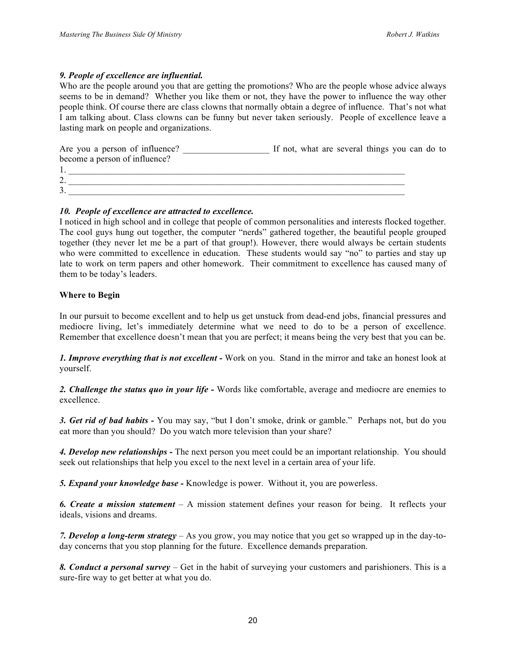#### *9. People of excellence are influential.*

Who are the people around you that are getting the promotions? Who are the people whose advice always seems to be in demand? Whether you like them or not, they have the power to influence the way other people think. Of course there are class clowns that normally obtain a degree of influence. That's not what I am talking about. Class clowns can be funny but never taken seriously. People of excellence leave a lasting mark on people and organizations.

Are you a person of influence? If not, what are several things you can do to become a person of influence?

| . .                                   |  |
|---------------------------------------|--|
| $\mathcal{L}$<br>,.                   |  |
| $\sim$<br>$\blacktriangleleft$<br>J . |  |
|                                       |  |

#### *10. People of excellence are attracted to excellence.*

I noticed in high school and in college that people of common personalities and interests flocked together. The cool guys hung out together, the computer "nerds" gathered together, the beautiful people grouped together (they never let me be a part of that group!). However, there would always be certain students who were committed to excellence in education. These students would say "no" to parties and stay up late to work on term papers and other homework. Their commitment to excellence has caused many of them to be today's leaders.

#### **Where to Begin**

In our pursuit to become excellent and to help us get unstuck from dead-end jobs, financial pressures and mediocre living, let's immediately determine what we need to do to be a person of excellence. Remember that excellence doesn't mean that you are perfect; it means being the very best that you can be.

*1. Improve everything that is not excellent -* Work on you. Stand in the mirror and take an honest look at yourself.

*2. Challenge the status quo in your life -* Words like comfortable, average and mediocre are enemies to excellence.

*3. Get rid of bad habits -* You may say, "but I don't smoke, drink or gamble." Perhaps not, but do you eat more than you should? Do you watch more television than your share?

*4. Develop new relationships* **-** The next person you meet could be an important relationship. You should seek out relationships that help you excel to the next level in a certain area of your life.

*5. Expand your knowledge base -* Knowledge is power. Without it, you are powerless.

*6. Create a mission statement* – A mission statement defines your reason for being. It reflects your ideals, visions and dreams.

*7. Develop a long-term strategy* – As you grow, you may notice that you get so wrapped up in the day-today concerns that you stop planning for the future. Excellence demands preparation.

*8. Conduct a personal survey* – Get in the habit of surveying your customers and parishioners. This is a sure-fire way to get better at what you do.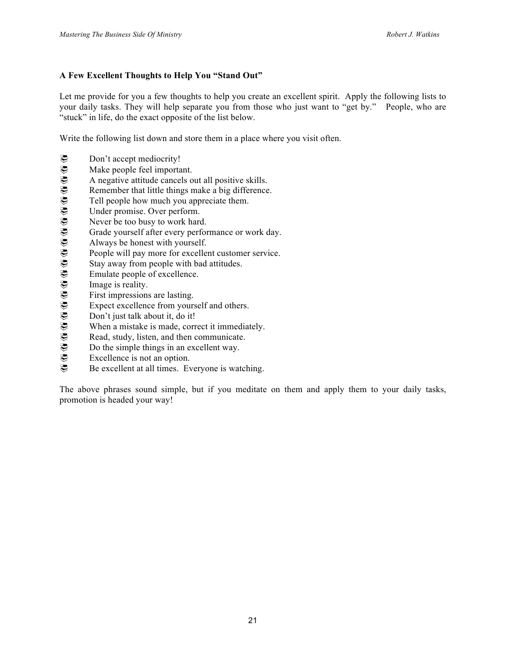# **A Few Excellent Thoughts to Help You "Stand Out"**

Let me provide for you a few thoughts to help you create an excellent spirit. Apply the following lists to your daily tasks. They will help separate you from those who just want to "get by." People, who are "stuck" in life, do the exact opposite of the list below.

Write the following list down and store them in a place where you visit often.

- 
- Make people feel important.
- A negative attitude cancels out all positive skills.
- Remember that little things make a big difference.
- Tell people how much you appreciate them.
- Under promise. Over perform.
- Never be too busy to work hard.
- Grade yourself after every performance or work day.
- Always be honest with yourself.
- People will pay more for excellent customer service.
- Stay away from people with bad attitudes.
- Emulate people of excellence.
- Image is reality.
- First impressions are lasting.
- Expect excellence from yourself and others.
- Don't just talk about it, do it!
- When a mistake is made, correct it immediately.
- Read, study, listen, and then communicate.
- Do the simple things in an excellent way.
- **E** Don't accept mediocrity!<br>
Make people feel importa<br>
Remember that little thing<br>
Tell people how much yo<br>
Under promise. Over perf<br>
Never be too busy to worl<br>
Grade yourself after every<br>
Always be honest with yc<br>
Peop Excellence is not an option.
- Be excellent at all times. Everyone is watching.

The above phrases sound simple, but if you meditate on them and apply them to your daily tasks, promotion is headed your way!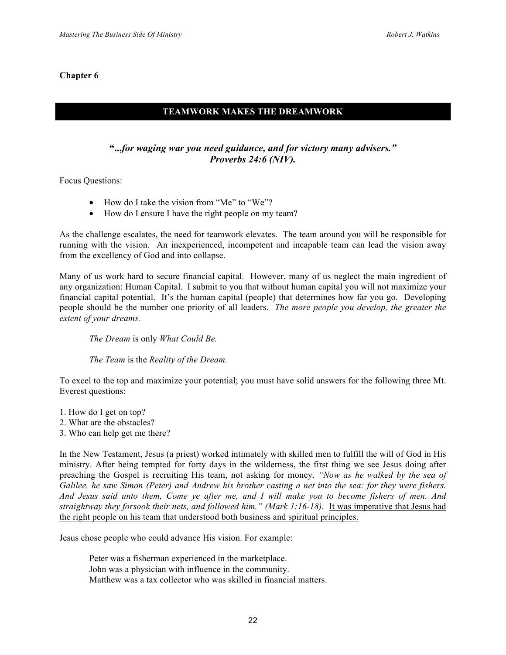# **TEAMWORK MAKES THE DREAMWORK**

# **"...***for waging war you need guidance, and for victory many advisers." Proverbs 24:6 (NIV).*

Focus Questions:

- How do I take the vision from "Me" to "We"?
- How do I ensure I have the right people on my team?

As the challenge escalates, the need for teamwork elevates. The team around you will be responsible for running with the vision. An inexperienced, incompetent and incapable team can lead the vision away from the excellency of God and into collapse.

Many of us work hard to secure financial capital. However, many of us neglect the main ingredient of any organization: Human Capital. I submit to you that without human capital you will not maximize your financial capital potential. It's the human capital (people) that determines how far you go. Developing people should be the number one priority of all leaders. *The more people you develop, the greater the extent of your dreams.*

*The Dream* is only *What Could Be.*

*The Team* is the *Reality of the Dream.*

To excel to the top and maximize your potential; you must have solid answers for the following three Mt. Everest questions:

- 1. How do I get on top?
- 2. What are the obstacles?
- 3. Who can help get me there?

In the New Testament, Jesus (a priest) worked intimately with skilled men to fulfill the will of God in His ministry. After being tempted for forty days in the wilderness, the first thing we see Jesus doing after preaching the Gospel is recruiting His team, not asking for money. *"Now as he walked by the sea of Galilee, he saw Simon (Peter) and Andrew his brother casting a net into the sea: for they were fishers. And Jesus said unto them, Come ye after me, and I will make you to become fishers of men. And straightway they forsook their nets, and followed him." (Mark 1:16-18).* It was imperative that Jesus had the right people on his team that understood both business and spiritual principles.

Jesus chose people who could advance His vision. For example:

Peter was a fisherman experienced in the marketplace. John was a physician with influence in the community. Matthew was a tax collector who was skilled in financial matters.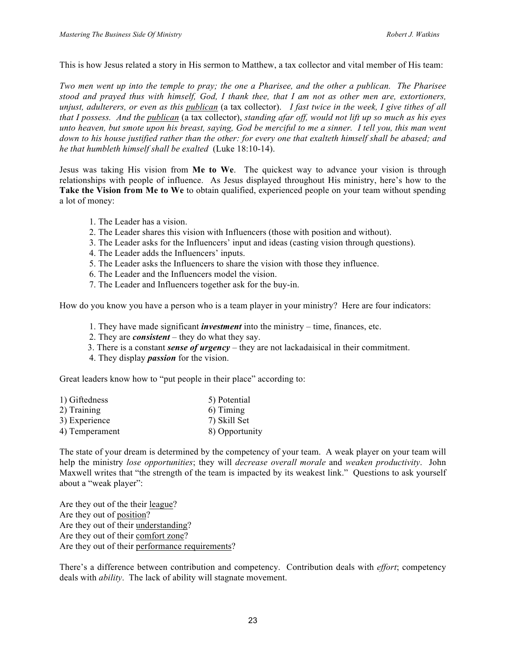This is how Jesus related a story in His sermon to Matthew, a tax collector and vital member of His team:

*Two men went up into the temple to pray; the one a Pharisee, and the other a publican. The Pharisee stood and prayed thus with himself, God, I thank thee, that I am not as other men are, extortioners, unjust, adulterers, or even as this publican* (a tax collector). *I fast twice in the week, I give tithes of all that I possess. And the publican* (a tax collector), *standing afar off, would not lift up so much as his eyes unto heaven, but smote upon his breast, saying, God be merciful to me a sinner. I tell you, this man went down to his house justified rather than the other: for every one that exalteth himself shall be abased; and he that humbleth himself shall be exalted* (Luke 18:10-14).

Jesus was taking His vision from **Me to We**. The quickest way to advance your vision is through relationships with people of influence. As Jesus displayed throughout His ministry, here's how to the **Take the Vision from Me to We** to obtain qualified, experienced people on your team without spending a lot of money:

- 1. The Leader has a vision.
- 2. The Leader shares this vision with Influencers (those with position and without).
- 3. The Leader asks for the Influencers' input and ideas (casting vision through questions).
- 4. The Leader adds the Influencers' inputs.
- 5. The Leader asks the Influencers to share the vision with those they influence.
- 6. The Leader and the Influencers model the vision.
- 7. The Leader and Influencers together ask for the buy-in.

How do you know you have a person who is a team player in your ministry? Here are four indicators:

- 1. They have made significant *investment* into the ministry time, finances, etc.
- 2. They are *consistent* they do what they say.
- 3. There is a constant *sense of urgency* they are not lackadaisical in their commitment.
- 4. They display *passion* for the vision.

Great leaders know how to "put people in their place" according to:

| 5) Potential   |
|----------------|
| 6) Timing      |
| 7) Skill Set   |
| 8) Opportunity |
|                |

The state of your dream is determined by the competency of your team. A weak player on your team will help the ministry *lose opportunities*; they will *decrease overall morale* and *weaken productivity*. John Maxwell writes that "the strength of the team is impacted by its weakest link." Questions to ask yourself about a "weak player":

Are they out of the their league? Are they out of position? Are they out of their understanding? Are they out of their comfort zone? Are they out of their performance requirements?

There's a difference between contribution and competency. Contribution deals with *effort*; competency deals with *ability*. The lack of ability will stagnate movement.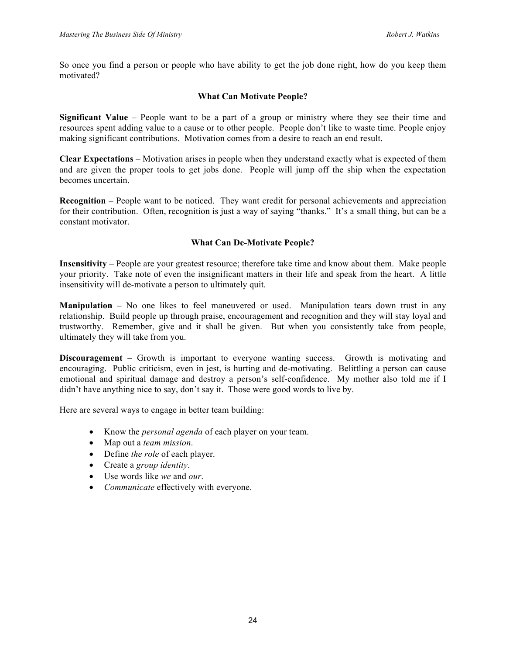So once you find a person or people who have ability to get the job done right, how do you keep them motivated?

#### **What Can Motivate People?**

**Significant Value** – People want to be a part of a group or ministry where they see their time and resources spent adding value to a cause or to other people. People don't like to waste time. People enjoy making significant contributions. Motivation comes from a desire to reach an end result.

**Clear Expectations** – Motivation arises in people when they understand exactly what is expected of them and are given the proper tools to get jobs done. People will jump off the ship when the expectation becomes uncertain.

**Recognition** – People want to be noticed. They want credit for personal achievements and appreciation for their contribution. Often, recognition is just a way of saying "thanks." It's a small thing, but can be a constant motivator.

#### **What Can De-Motivate People?**

**Insensitivity** – People are your greatest resource; therefore take time and know about them. Make people your priority. Take note of even the insignificant matters in their life and speak from the heart. A little insensitivity will de-motivate a person to ultimately quit.

**Manipulation** – No one likes to feel maneuvered or used. Manipulation tears down trust in any relationship. Build people up through praise, encouragement and recognition and they will stay loyal and trustworthy. Remember, give and it shall be given. But when you consistently take from people, ultimately they will take from you.

**Discouragement** – Growth is important to everyone wanting success. Growth is motivating and encouraging. Public criticism, even in jest, is hurting and de-motivating. Belittling a person can cause emotional and spiritual damage and destroy a person's self-confidence. My mother also told me if I didn't have anything nice to say, don't say it. Those were good words to live by.

Here are several ways to engage in better team building:

- Know the *personal agenda* of each player on your team.
- Map out a *team mission*.
- Define *the role* of each player.
- Create a *group identity*.
- Use words like *we* and *our*.
- *Communicate* effectively with everyone.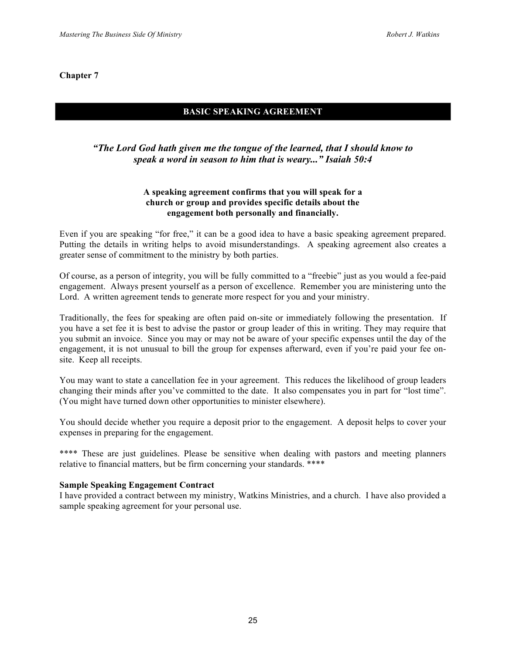# **BASIC SPEAKING AGREEMENT**

# *"The Lord God hath given me the tongue of the learned, that I should know to speak a word in season to him that is weary..." Isaiah 50:4*

#### **A speaking agreement confirms that you will speak for a church or group and provides specific details about the engagement both personally and financially.**

Even if you are speaking "for free," it can be a good idea to have a basic speaking agreement prepared. Putting the details in writing helps to avoid misunderstandings. A speaking agreement also creates a greater sense of commitment to the ministry by both parties.

Of course, as a person of integrity, you will be fully committed to a "freebie" just as you would a fee-paid engagement. Always present yourself as a person of excellence. Remember you are ministering unto the Lord. A written agreement tends to generate more respect for you and your ministry.

Traditionally, the fees for speaking are often paid on-site or immediately following the presentation. If you have a set fee it is best to advise the pastor or group leader of this in writing. They may require that you submit an invoice. Since you may or may not be aware of your specific expenses until the day of the engagement, it is not unusual to bill the group for expenses afterward, even if you're paid your fee onsite. Keep all receipts.

You may want to state a cancellation fee in your agreement. This reduces the likelihood of group leaders changing their minds after you've committed to the date. It also compensates you in part for "lost time". (You might have turned down other opportunities to minister elsewhere).

You should decide whether you require a deposit prior to the engagement. A deposit helps to cover your expenses in preparing for the engagement.

\*\*\*\* These are just guidelines. Please be sensitive when dealing with pastors and meeting planners relative to financial matters, but be firm concerning your standards. \*\*\*\*

#### **Sample Speaking Engagement Contract**

I have provided a contract between my ministry, Watkins Ministries, and a church. I have also provided a sample speaking agreement for your personal use.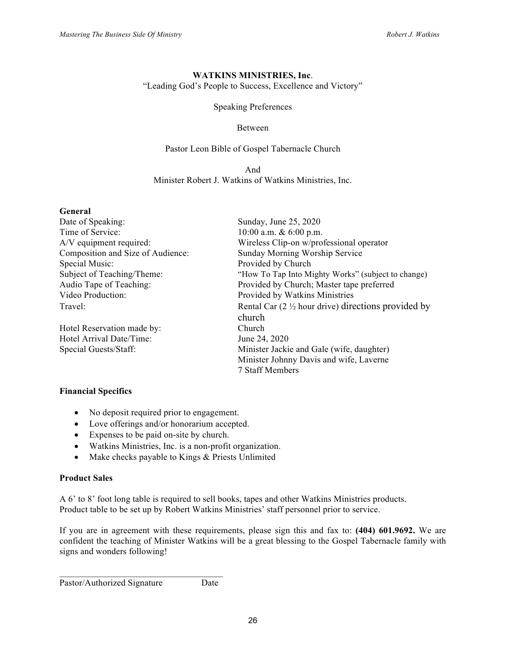#### **WATKINS MINISTRIES, Inc**. "Leading God's People to Success, Excellence and Victory"

Speaking Preferences

#### Between

#### Pastor Leon Bible of Gospel Tabernacle Church

And Minister Robert J. Watkins of Watkins Ministries, Inc.

| General                           |                                                                 |
|-----------------------------------|-----------------------------------------------------------------|
| Date of Speaking:                 | Sunday, June 25, 2020                                           |
| Time of Service:                  | 10:00 a.m. $& 6:00$ p.m.                                        |
| A/V equipment required:           | Wireless Clip-on w/professional operator                        |
| Composition and Size of Audience: | Sunday Morning Worship Service                                  |
| Special Music:                    | Provided by Church                                              |
| Subject of Teaching/Theme:        | "How To Tap Into Mighty Works" (subject to change)              |
| Audio Tape of Teaching:           | Provided by Church; Master tape preferred                       |
| Video Production:                 | Provided by Watkins Ministries                                  |
| Travel:                           | Rental Car $(2 \frac{1}{2})$ hour drive) directions provided by |
|                                   | church                                                          |
| Hotel Reservation made by:        | <b>Church</b>                                                   |
| Hotel Arrival Date/Time:          | June 24, 2020                                                   |
| Special Guests/Staff:             | Minister Jackie and Gale (wife, daughter)                       |
|                                   | Minister Johnny Davis and wife, Laverne                         |
|                                   | 7 Staff Members                                                 |

#### **Financial Specifics**

- No deposit required prior to engagement.
- Love offerings and/or honorarium accepted.
- Expenses to be paid on-site by church.
- Watkins Ministries, Inc. is a non-profit organization.
- Make checks payable to Kings & Priests Unlimited

#### **Product Sales**

A 6' to 8' foot long table is required to sell books, tapes and other Watkins Ministries products. Product table to be set up by Robert Watkins Ministries' staff personnel prior to service.

If you are in agreement with these requirements, please sign this and fax to: **(404) 601.9692.** We are confident the teaching of Minister Watkins will be a great blessing to the Gospel Tabernacle family with signs and wonders following!

```
\mathcal{L}_\text{max} = \mathcal{L}_\text{max} = \mathcal{L}_\text{max} = \mathcal{L}_\text{max} = \mathcal{L}_\text{max}Pastor/Authorized Signature Date
```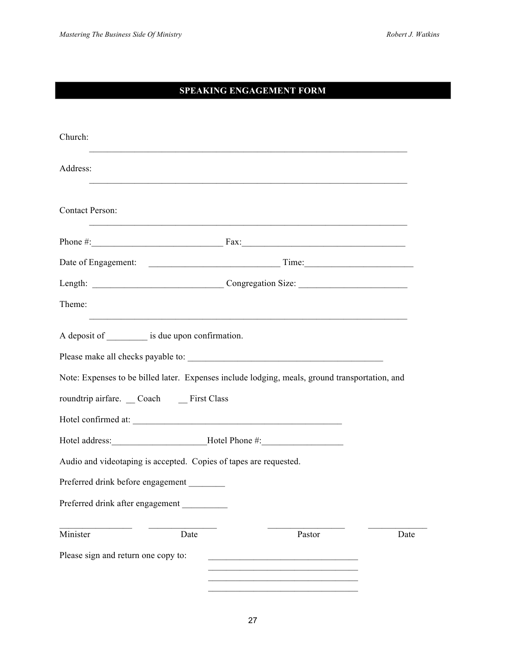# **SPEAKING ENGAGEMENT FORM**

| Church:                                                                                                                                                                                                                                                                                                                                           |        |      |  |
|---------------------------------------------------------------------------------------------------------------------------------------------------------------------------------------------------------------------------------------------------------------------------------------------------------------------------------------------------|--------|------|--|
| Address:                                                                                                                                                                                                                                                                                                                                          |        |      |  |
| <b>Contact Person:</b>                                                                                                                                                                                                                                                                                                                            |        |      |  |
| Phone $\#$ : $\qquad \qquad$ $\qquad \qquad$ $\qquad$ $\qquad$ $\qquad \qquad$ $\qquad$ $\qquad$ $\qquad$ $\qquad$ $\qquad \qquad$ $\qquad$ $\qquad$ $\qquad$ $\qquad$ $\qquad$ $\qquad$ $\qquad$ $\qquad$ $\qquad$ $\qquad$ $\qquad$ $\qquad$ $\qquad$ $\qquad$ $\qquad$ $\qquad$ $\qquad$ $\qquad$ $\qquad$ $\qquad$ $\qquad$ $\qquad$ $\qquad$ |        |      |  |
|                                                                                                                                                                                                                                                                                                                                                   |        |      |  |
| Length: Congregation Size: Congregation Size:                                                                                                                                                                                                                                                                                                     |        |      |  |
| Theme:                                                                                                                                                                                                                                                                                                                                            |        |      |  |
| A deposit of ___________ is due upon confirmation.                                                                                                                                                                                                                                                                                                |        |      |  |
| Note: Expenses to be billed later. Expenses include lodging, meals, ground transportation, and                                                                                                                                                                                                                                                    |        |      |  |
| roundtrip airfare. Coach First Class                                                                                                                                                                                                                                                                                                              |        |      |  |
|                                                                                                                                                                                                                                                                                                                                                   |        |      |  |
| Hotel address: ___________________________Hotel Phone #: _______________________                                                                                                                                                                                                                                                                  |        |      |  |
| Audio and videotaping is accepted. Copies of tapes are requested.                                                                                                                                                                                                                                                                                 |        |      |  |
| Preferred drink before engagement                                                                                                                                                                                                                                                                                                                 |        |      |  |
| Preferred drink after engagement                                                                                                                                                                                                                                                                                                                  |        |      |  |
| Minister<br>Date                                                                                                                                                                                                                                                                                                                                  | Pastor | Date |  |
| Please sign and return one copy to:                                                                                                                                                                                                                                                                                                               |        |      |  |
|                                                                                                                                                                                                                                                                                                                                                   |        |      |  |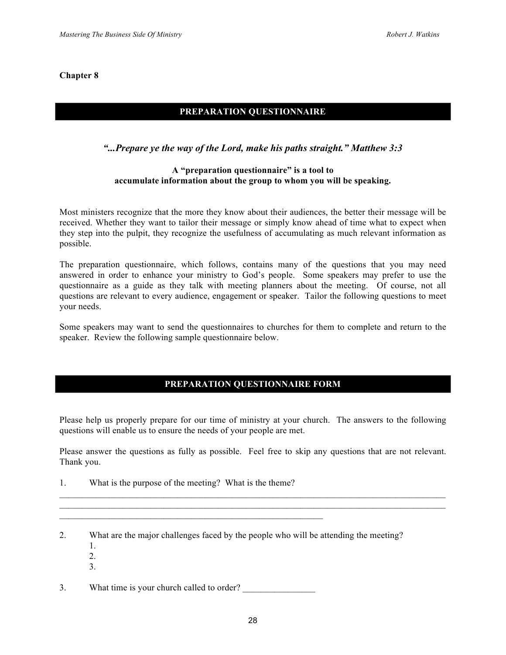# **PREPARATION QUESTIONNAIRE**

# *"...Prepare ye the way of the Lord, make his paths straight." Matthew 3:3*

#### **A "preparation questionnaire" is a tool to accumulate information about the group to whom you will be speaking.**

Most ministers recognize that the more they know about their audiences, the better their message will be received. Whether they want to tailor their message or simply know ahead of time what to expect when they step into the pulpit, they recognize the usefulness of accumulating as much relevant information as possible.

The preparation questionnaire, which follows, contains many of the questions that you may need answered in order to enhance your ministry to God's people. Some speakers may prefer to use the questionnaire as a guide as they talk with meeting planners about the meeting. Of course, not all questions are relevant to every audience, engagement or speaker. Tailor the following questions to meet your needs.

Some speakers may want to send the questionnaires to churches for them to complete and return to the speaker. Review the following sample questionnaire below.

# **PREPARATION QUESTIONNAIRE FORM**

Please help us properly prepare for our time of ministry at your church. The answers to the following questions will enable us to ensure the needs of your people are met.

Please answer the questions as fully as possible. Feel free to skip any questions that are not relevant. Thank you.

 $\mathcal{L}_\text{max} = \mathcal{L}_\text{max} = \mathcal{L}_\text{max} = \mathcal{L}_\text{max} = \mathcal{L}_\text{max} = \mathcal{L}_\text{max} = \mathcal{L}_\text{max} = \mathcal{L}_\text{max} = \mathcal{L}_\text{max} = \mathcal{L}_\text{max} = \mathcal{L}_\text{max} = \mathcal{L}_\text{max} = \mathcal{L}_\text{max} = \mathcal{L}_\text{max} = \mathcal{L}_\text{max} = \mathcal{L}_\text{max} = \mathcal{L}_\text{max} = \mathcal{L}_\text{max} = \mathcal{$  $\mathcal{L}_\text{max} = \mathcal{L}_\text{max} = \mathcal{L}_\text{max} = \mathcal{L}_\text{max} = \mathcal{L}_\text{max} = \mathcal{L}_\text{max} = \mathcal{L}_\text{max} = \mathcal{L}_\text{max} = \mathcal{L}_\text{max} = \mathcal{L}_\text{max} = \mathcal{L}_\text{max} = \mathcal{L}_\text{max} = \mathcal{L}_\text{max} = \mathcal{L}_\text{max} = \mathcal{L}_\text{max} = \mathcal{L}_\text{max} = \mathcal{L}_\text{max} = \mathcal{L}_\text{max} = \mathcal{$ 

- 1. What is the purpose of the meeting? What is the theme?
- 2. What are the major challenges faced by the people who will be attending the meeting?
	- 1.
	- 2.
	- 3.

3. What time is your church called to order?

 $\mathcal{L}_\text{max} = \mathcal{L}_\text{max} = \mathcal{L}_\text{max} = \mathcal{L}_\text{max} = \mathcal{L}_\text{max} = \mathcal{L}_\text{max} = \mathcal{L}_\text{max} = \mathcal{L}_\text{max} = \mathcal{L}_\text{max} = \mathcal{L}_\text{max} = \mathcal{L}_\text{max} = \mathcal{L}_\text{max} = \mathcal{L}_\text{max} = \mathcal{L}_\text{max} = \mathcal{L}_\text{max} = \mathcal{L}_\text{max} = \mathcal{L}_\text{max} = \mathcal{L}_\text{max} = \mathcal{$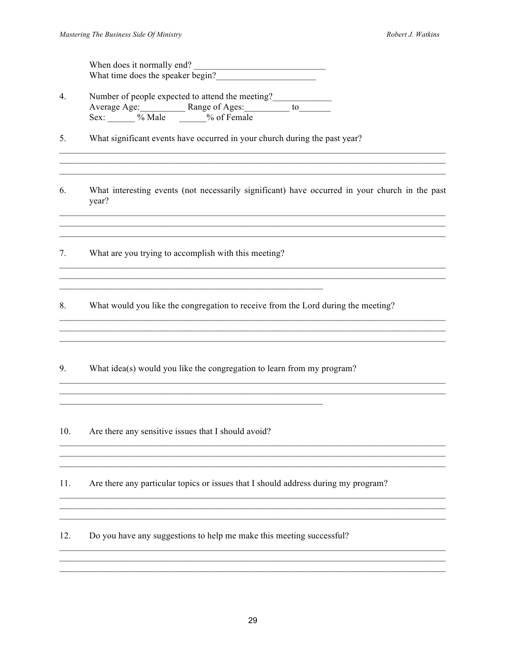When does it normally end?<br>What time does the speaker begin?

- Number of people expected to attend the meeting?  $\overline{4}$ . Average Age: Range of Ages: to to Sex: Whale W of Female
- What significant events have occurred in your church during the past year? 5.
- 6. What interesting events (not necessarily significant) have occurred in your church in the past year?

the control of the control of the control of the control of the control of the control of the control of the control of the control of the control of the control of the control of the control of the control of the control

 $7.$ What are you trying to accomplish with this meeting?

8. What would you like the congregation to receive from the Lord during the meeting?

9. What idea(s) would you like the congregation to learn from my program?

10. Are there any sensitive issues that I should avoid?

 $11.$ Are there any particular topics or issues that I should address during my program?

 $12.$ Do you have any suggestions to help me make this meeting successful?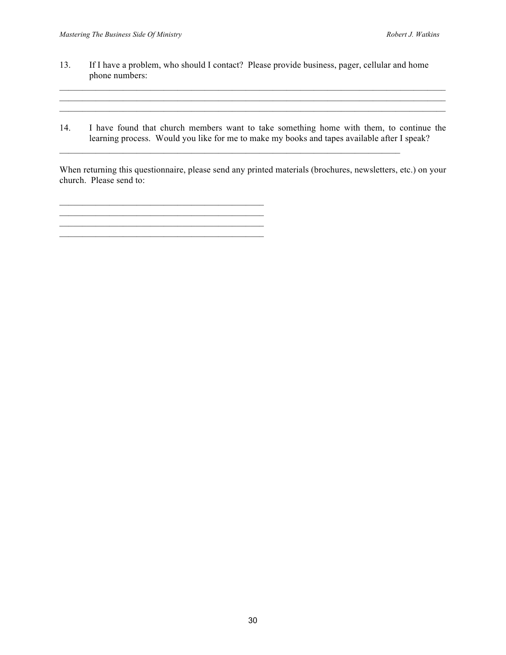- 13. If I have a problem, who should I contact? Please provide business, pager, cellular and home phone numbers:
- 14. I have found that church members want to take something home with them, to continue the learning process. Would you like for me to make my books and tapes available after I speak?

 $\mathcal{L}_\text{max} = \mathcal{L}_\text{max} = \mathcal{L}_\text{max} = \mathcal{L}_\text{max} = \mathcal{L}_\text{max} = \mathcal{L}_\text{max} = \mathcal{L}_\text{max} = \mathcal{L}_\text{max} = \mathcal{L}_\text{max} = \mathcal{L}_\text{max} = \mathcal{L}_\text{max} = \mathcal{L}_\text{max} = \mathcal{L}_\text{max} = \mathcal{L}_\text{max} = \mathcal{L}_\text{max} = \mathcal{L}_\text{max} = \mathcal{L}_\text{max} = \mathcal{L}_\text{max} = \mathcal{$ 

\_\_\_\_\_\_\_\_\_\_\_\_\_\_\_\_\_\_\_\_\_\_\_\_\_\_\_\_\_\_\_\_\_\_\_\_\_\_\_\_\_\_\_\_\_ \_\_\_\_\_\_\_\_\_\_\_\_\_\_\_\_\_\_\_\_\_\_\_\_\_\_\_\_\_\_\_\_\_\_\_\_\_\_\_\_\_\_\_\_\_

 $\mathcal{L}_\text{max} = \mathcal{L}_\text{max} = \mathcal{L}_\text{max} = \mathcal{L}_\text{max} = \mathcal{L}_\text{max} = \mathcal{L}_\text{max} = \mathcal{L}_\text{max} = \mathcal{L}_\text{max} = \mathcal{L}_\text{max} = \mathcal{L}_\text{max} = \mathcal{L}_\text{max} = \mathcal{L}_\text{max} = \mathcal{L}_\text{max} = \mathcal{L}_\text{max} = \mathcal{L}_\text{max} = \mathcal{L}_\text{max} = \mathcal{L}_\text{max} = \mathcal{L}_\text{max} = \mathcal{$ 

When returning this questionnaire, please send any printed materials (brochures, newsletters, etc.) on your church. Please send to:

30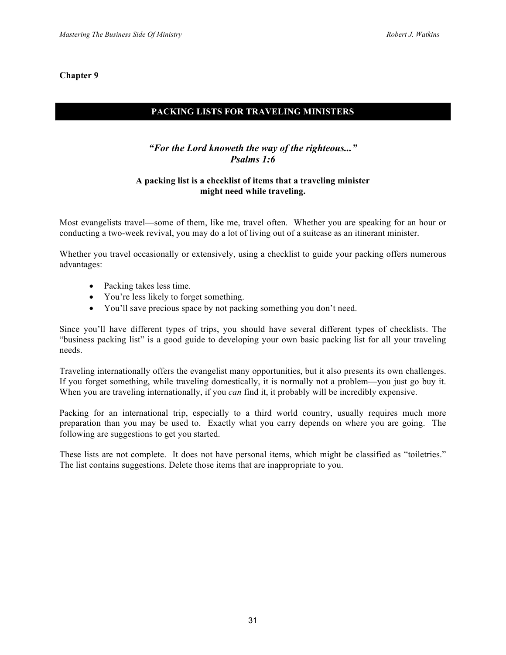# **PACKING LISTS FOR TRAVELING MINISTERS**

# *"For the Lord knoweth the way of the righteous..." Psalms 1:6*

#### **A packing list is a checklist of items that a traveling minister might need while traveling.**

Most evangelists travel—some of them, like me, travel often. Whether you are speaking for an hour or conducting a two-week revival, you may do a lot of living out of a suitcase as an itinerant minister.

Whether you travel occasionally or extensively, using a checklist to guide your packing offers numerous advantages:

- Packing takes less time.
- You're less likely to forget something.
- You'll save precious space by not packing something you don't need.

Since you'll have different types of trips, you should have several different types of checklists. The "business packing list" is a good guide to developing your own basic packing list for all your traveling needs.

Traveling internationally offers the evangelist many opportunities, but it also presents its own challenges. If you forget something, while traveling domestically, it is normally not a problem—you just go buy it. When you are traveling internationally, if you *can* find it, it probably will be incredibly expensive.

Packing for an international trip, especially to a third world country, usually requires much more preparation than you may be used to. Exactly what you carry depends on where you are going. The following are suggestions to get you started.

These lists are not complete. It does not have personal items, which might be classified as "toiletries." The list contains suggestions. Delete those items that are inappropriate to you.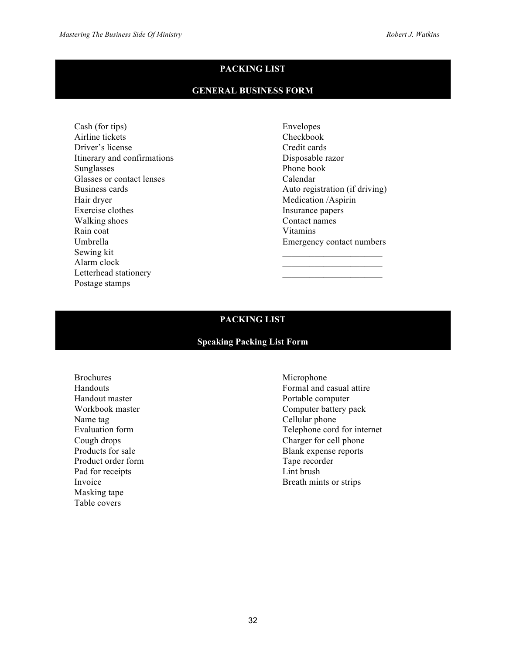# **PACKING LIST**

#### **GENERAL BUSINESS FORM**

Cash (for tips) Airline tickets Driver's license Itinerary and confirmations Sunglasses Glasses or contact lenses Business cards Hair dryer Exercise clothes Walking shoes Rain coat Umbrella Sewing kit Alarm clock Letterhead stationery Postage stamps

Envelopes Checkbook Credit cards Disposable razor Phone book Calendar Auto registration (if driving) Medication /Aspirin Insurance papers Contact names Vitamins Emergency contact numbers  $\overline{\phantom{a}}$  , where  $\overline{\phantom{a}}$ 

 $\mathcal{L}_\text{max}$  and  $\mathcal{L}_\text{max}$  and  $\mathcal{L}_\text{max}$  $\mathcal{L}_\text{max}$  and  $\mathcal{L}_\text{max}$  and  $\mathcal{L}_\text{max}$ 

## **PACKING LIST**

#### **Speaking Packing List Form**

Brochures Handouts Handout master Workbook master Name tag Evaluation form Cough drops Products for sale Product order form Pad for receipts Invoice Masking tape Table covers

Microphone Formal and casual attire Portable computer Computer battery pack Cellular phone Telephone cord for internet Charger for cell phone Blank expense reports Tape recorder Lint brush Breath mints or strips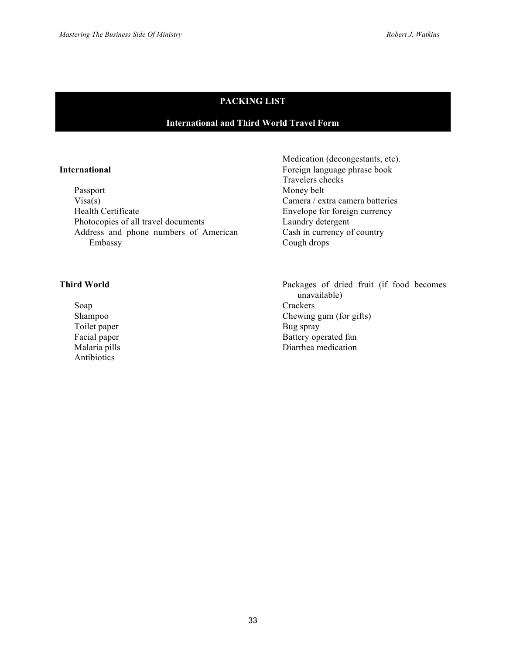# **PACKING LIST**

# **International and Third World Travel Form**

#### **International**

Passport  $Visa(s)$ Health Certificate Photocopies of all travel documents Address and phone numbers of American Embassy

#### **Third World**

Soap Shampoo Toilet paper Facial paper Malaria pills Antibiotics

Medication (decongestants, etc). Foreign language phrase book Travelers checks Money belt Camera / extra camera batteries Envelope for foreign currency Laundry detergent Cash in currency of country Cough drops

Packages of dried fruit (if food becomes unavailable) **Crackers** Chewing gum (for gifts) Bug spray Battery operated fan Diarrhea medication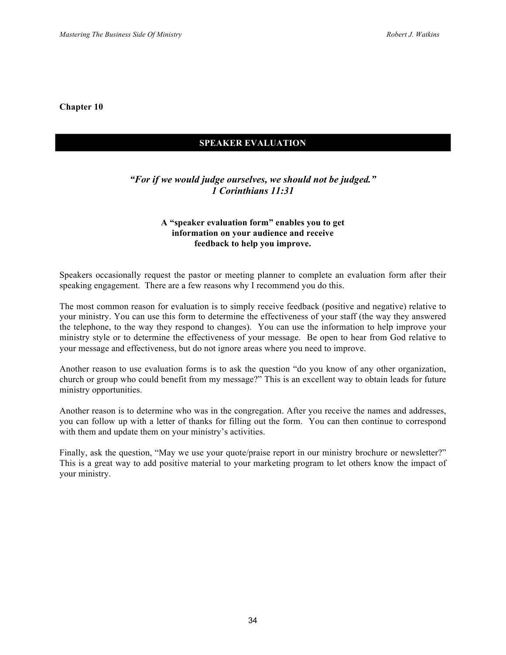#### **SPEAKER EVALUATION**

# *"For if we would judge ourselves, we should not be judged." 1 Corinthians 11:31*

#### **A "speaker evaluation form" enables you to get information on your audience and receive feedback to help you improve.**

Speakers occasionally request the pastor or meeting planner to complete an evaluation form after their speaking engagement. There are a few reasons why I recommend you do this.

The most common reason for evaluation is to simply receive feedback (positive and negative) relative to your ministry. You can use this form to determine the effectiveness of your staff (the way they answered the telephone, to the way they respond to changes). You can use the information to help improve your ministry style or to determine the effectiveness of your message. Be open to hear from God relative to your message and effectiveness, but do not ignore areas where you need to improve.

Another reason to use evaluation forms is to ask the question "do you know of any other organization, church or group who could benefit from my message?" This is an excellent way to obtain leads for future ministry opportunities.

Another reason is to determine who was in the congregation. After you receive the names and addresses, you can follow up with a letter of thanks for filling out the form. You can then continue to correspond with them and update them on your ministry's activities.

Finally, ask the question, "May we use your quote/praise report in our ministry brochure or newsletter?" This is a great way to add positive material to your marketing program to let others know the impact of your ministry.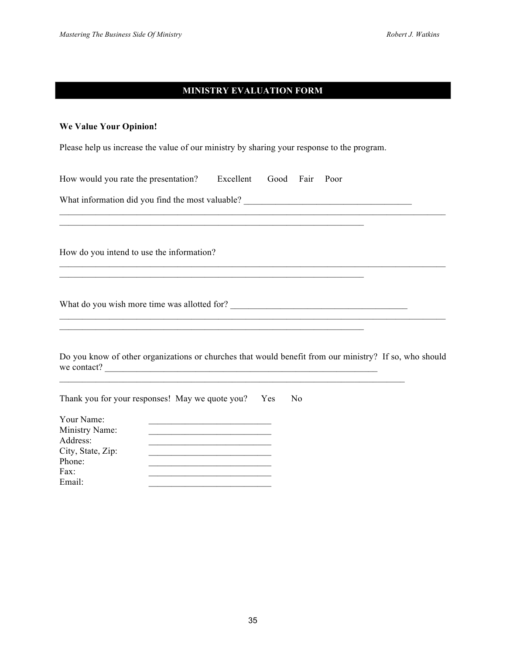## **MINISTRY EVALUATION FORM**

#### **We Value Your Opinion!**

Please help us increase the value of our ministry by sharing your response to the program.

How would you rate the presentation? Excellent Good Fair Poor

What information did you find the most valuable? \_\_\_\_\_\_\_\_\_\_\_\_\_\_\_\_\_\_\_\_\_\_\_\_\_\_\_\_\_\_\_

How do you intend to use the information?

What do you wish more time was allotted for? \_\_\_\_\_\_\_\_\_\_\_\_\_\_\_\_\_\_\_\_\_\_\_\_\_\_\_\_\_\_\_\_\_\_\_\_\_\_\_

Do you know of other organizations or churches that would benefit from our ministry? If so, who should we contact?

 $\mathcal{L}_\text{max} = \mathcal{L}_\text{max} = \mathcal{L}_\text{max} = \mathcal{L}_\text{max} = \mathcal{L}_\text{max} = \mathcal{L}_\text{max} = \mathcal{L}_\text{max} = \mathcal{L}_\text{max} = \mathcal{L}_\text{max} = \mathcal{L}_\text{max} = \mathcal{L}_\text{max} = \mathcal{L}_\text{max} = \mathcal{L}_\text{max} = \mathcal{L}_\text{max} = \mathcal{L}_\text{max} = \mathcal{L}_\text{max} = \mathcal{L}_\text{max} = \mathcal{L}_\text{max} = \mathcal{$  $\mathcal{L}_\mathcal{L} = \mathcal{L}_\mathcal{L} = \mathcal{L}_\mathcal{L} = \mathcal{L}_\mathcal{L} = \mathcal{L}_\mathcal{L} = \mathcal{L}_\mathcal{L} = \mathcal{L}_\mathcal{L} = \mathcal{L}_\mathcal{L} = \mathcal{L}_\mathcal{L} = \mathcal{L}_\mathcal{L} = \mathcal{L}_\mathcal{L} = \mathcal{L}_\mathcal{L} = \mathcal{L}_\mathcal{L} = \mathcal{L}_\mathcal{L} = \mathcal{L}_\mathcal{L} = \mathcal{L}_\mathcal{L} = \mathcal{L}_\mathcal{L}$ 

 $\mathcal{L}_\text{max} = \mathcal{L}_\text{max} = \mathcal{L}_\text{max} = \mathcal{L}_\text{max} = \mathcal{L}_\text{max} = \mathcal{L}_\text{max} = \mathcal{L}_\text{max} = \mathcal{L}_\text{max} = \mathcal{L}_\text{max} = \mathcal{L}_\text{max} = \mathcal{L}_\text{max} = \mathcal{L}_\text{max} = \mathcal{L}_\text{max} = \mathcal{L}_\text{max} = \mathcal{L}_\text{max} = \mathcal{L}_\text{max} = \mathcal{L}_\text{max} = \mathcal{L}_\text{max} = \mathcal{$ 

| Thank you for your responses! May we quote you? | Yes | No |
|-------------------------------------------------|-----|----|
| Your Name:                                      |     |    |
| Ministry Name:                                  |     |    |
| Address:                                        |     |    |
| City, State, Zip:                               |     |    |
| Phone:                                          |     |    |
| Fax:                                            |     |    |
| Email:                                          |     |    |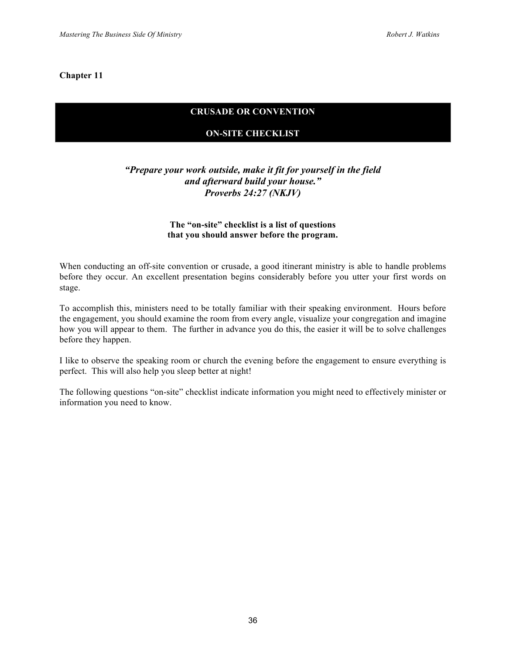# **CRUSADE OR CONVENTION**

# **ON-SITE CHECKLIST**

# *"Prepare your work outside, make it fit for yourself in the field and afterward build your house." Proverbs 24:27 (NKJV)*

#### **The "on-site" checklist is a list of questions that you should answer before the program.**

When conducting an off-site convention or crusade, a good itinerant ministry is able to handle problems before they occur. An excellent presentation begins considerably before you utter your first words on stage.

To accomplish this, ministers need to be totally familiar with their speaking environment. Hours before the engagement, you should examine the room from every angle, visualize your congregation and imagine how you will appear to them. The further in advance you do this, the easier it will be to solve challenges before they happen.

I like to observe the speaking room or church the evening before the engagement to ensure everything is perfect. This will also help you sleep better at night!

The following questions "on-site" checklist indicate information you might need to effectively minister or information you need to know.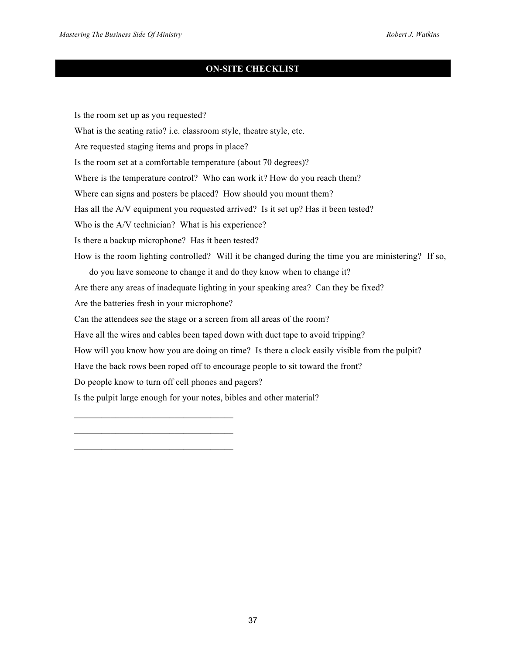# **ON-SITE CHECKLIST**

Is the room set up as you requested? What is the seating ratio? i.e. classroom style, theatre style, etc. Are requested staging items and props in place? Is the room set at a comfortable temperature (about 70 degrees)? Where is the temperature control? Who can work it? How do you reach them? Where can signs and posters be placed? How should you mount them? Has all the A/V equipment you requested arrived? Is it set up? Has it been tested? Who is the A/V technician? What is his experience? Is there a backup microphone? Has it been tested? How is the room lighting controlled? Will it be changed during the time you are ministering? If so, do you have someone to change it and do they know when to change it? Are there any areas of inadequate lighting in your speaking area? Can they be fixed? Are the batteries fresh in your microphone? Can the attendees see the stage or a screen from all areas of the room? Have all the wires and cables been taped down with duct tape to avoid tripping? How will you know how you are doing on time? Is there a clock easily visible from the pulpit? Have the back rows been roped off to encourage people to sit toward the front? Do people know to turn off cell phones and pagers? Is the pulpit large enough for your notes, bibles and other material?

 $\mathcal{L}_\text{max} = \mathcal{L}_\text{max} = \mathcal{L}_\text{max} = \mathcal{L}_\text{max} = \mathcal{L}_\text{max}$ 

 $\mathcal{L}_\text{max} = \mathcal{L}_\text{max} = \mathcal{L}_\text{max} = \mathcal{L}_\text{max} = \mathcal{L}_\text{max}$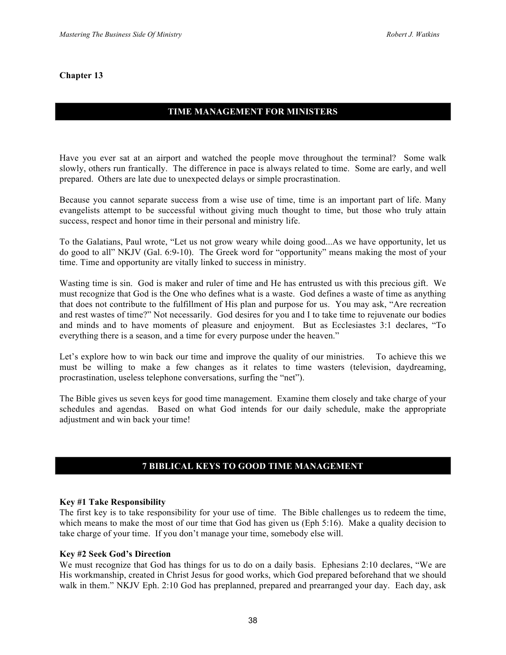# **TIME MANAGEMENT FOR MINISTERS**

Have you ever sat at an airport and watched the people move throughout the terminal? Some walk slowly, others run frantically. The difference in pace is always related to time. Some are early, and well prepared. Others are late due to unexpected delays or simple procrastination.

Because you cannot separate success from a wise use of time, time is an important part of life. Many evangelists attempt to be successful without giving much thought to time, but those who truly attain success, respect and honor time in their personal and ministry life.

To the Galatians, Paul wrote, "Let us not grow weary while doing good...As we have opportunity, let us do good to all" NKJV (Gal. 6:9-10). The Greek word for "opportunity" means making the most of your time. Time and opportunity are vitally linked to success in ministry.

Wasting time is sin. God is maker and ruler of time and He has entrusted us with this precious gift. We must recognize that God is the One who defines what is a waste. God defines a waste of time as anything that does not contribute to the fulfillment of His plan and purpose for us. You may ask, "Are recreation and rest wastes of time?" Not necessarily. God desires for you and I to take time to rejuvenate our bodies and minds and to have moments of pleasure and enjoyment. But as Ecclesiastes 3:1 declares, "To everything there is a season, and a time for every purpose under the heaven."

Let's explore how to win back our time and improve the quality of our ministries. To achieve this we must be willing to make a few changes as it relates to time wasters (television, daydreaming, procrastination, useless telephone conversations, surfing the "net").

The Bible gives us seven keys for good time management. Examine them closely and take charge of your schedules and agendas. Based on what God intends for our daily schedule, make the appropriate adjustment and win back your time!

# **7 BIBLICAL KEYS TO GOOD TIME MANAGEMENT**

#### **Key #1 Take Responsibility**

The first key is to take responsibility for your use of time. The Bible challenges us to redeem the time, which means to make the most of our time that God has given us (Eph 5:16). Make a quality decision to take charge of your time. If you don't manage your time, somebody else will.

#### **Key #2 Seek God's Direction**

We must recognize that God has things for us to do on a daily basis. Ephesians 2:10 declares, "We are His workmanship, created in Christ Jesus for good works, which God prepared beforehand that we should walk in them." NKJV Eph. 2:10 God has preplanned, prepared and prearranged your day. Each day, ask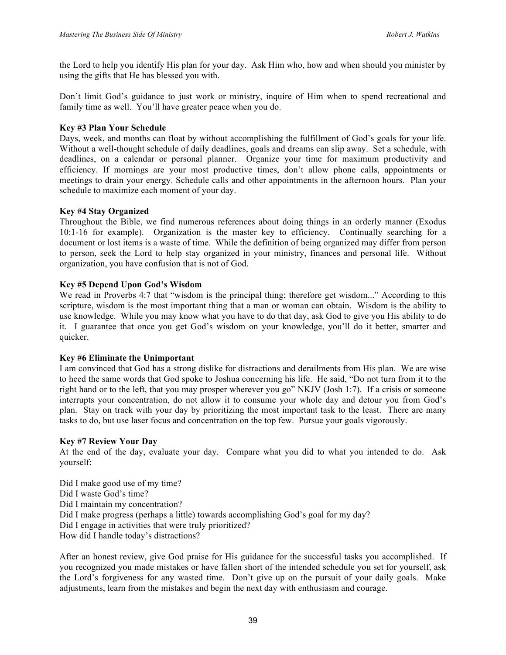the Lord to help you identify His plan for your day. Ask Him who, how and when should you minister by using the gifts that He has blessed you with.

Don't limit God's guidance to just work or ministry, inquire of Him when to spend recreational and family time as well. You'll have greater peace when you do.

#### **Key #3 Plan Your Schedule**

Days, week, and months can float by without accomplishing the fulfillment of God's goals for your life. Without a well-thought schedule of daily deadlines, goals and dreams can slip away. Set a schedule, with deadlines, on a calendar or personal planner. Organize your time for maximum productivity and efficiency. If mornings are your most productive times, don't allow phone calls, appointments or meetings to drain your energy. Schedule calls and other appointments in the afternoon hours. Plan your schedule to maximize each moment of your day.

#### **Key #4 Stay Organized**

Throughout the Bible, we find numerous references about doing things in an orderly manner (Exodus 10:1-16 for example). Organization is the master key to efficiency. Continually searching for a document or lost items is a waste of time. While the definition of being organized may differ from person to person, seek the Lord to help stay organized in your ministry, finances and personal life. Without organization, you have confusion that is not of God.

#### **Key #5 Depend Upon God's Wisdom**

We read in Proverbs 4:7 that "wisdom is the principal thing; therefore get wisdom..." According to this scripture, wisdom is the most important thing that a man or woman can obtain. Wisdom is the ability to use knowledge. While you may know what you have to do that day, ask God to give you His ability to do it. I guarantee that once you get God's wisdom on your knowledge, you'll do it better, smarter and quicker.

#### **Key #6 Eliminate the Unimportant**

I am convinced that God has a strong dislike for distractions and derailments from His plan. We are wise to heed the same words that God spoke to Joshua concerning his life. He said, "Do not turn from it to the right hand or to the left, that you may prosper wherever you go" NKJV (Josh 1:7). If a crisis or someone interrupts your concentration, do not allow it to consume your whole day and detour you from God's plan. Stay on track with your day by prioritizing the most important task to the least. There are many tasks to do, but use laser focus and concentration on the top few. Pursue your goals vigorously.

#### **Key #7 Review Your Day**

At the end of the day, evaluate your day. Compare what you did to what you intended to do. Ask yourself:

Did I make good use of my time? Did I waste God's time? Did I maintain my concentration? Did I make progress (perhaps a little) towards accomplishing God's goal for my day? Did I engage in activities that were truly prioritized? How did I handle today's distractions?

After an honest review, give God praise for His guidance for the successful tasks you accomplished. If you recognized you made mistakes or have fallen short of the intended schedule you set for yourself, ask the Lord's forgiveness for any wasted time. Don't give up on the pursuit of your daily goals. Make adjustments, learn from the mistakes and begin the next day with enthusiasm and courage.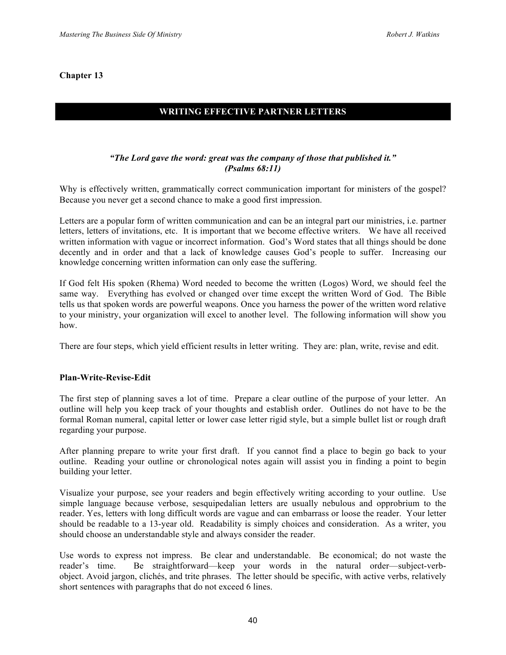# **WRITING EFFECTIVE PARTNER LETTERS**

# *"The Lord gave the word: great was the company of those that published it." (Psalms 68:11)*

Why is effectively written, grammatically correct communication important for ministers of the gospel? Because you never get a second chance to make a good first impression.

Letters are a popular form of written communication and can be an integral part our ministries, i.e. partner letters, letters of invitations, etc. It is important that we become effective writers. We have all received written information with vague or incorrect information. God's Word states that all things should be done decently and in order and that a lack of knowledge causes God's people to suffer. Increasing our knowledge concerning written information can only ease the suffering.

If God felt His spoken (Rhema) Word needed to become the written (Logos) Word, we should feel the same way. Everything has evolved or changed over time except the written Word of God. The Bible tells us that spoken words are powerful weapons. Once you harness the power of the written word relative to your ministry, your organization will excel to another level. The following information will show you how.

There are four steps, which yield efficient results in letter writing. They are: plan, write, revise and edit.

#### **Plan-Write-Revise-Edit**

The first step of planning saves a lot of time. Prepare a clear outline of the purpose of your letter. An outline will help you keep track of your thoughts and establish order. Outlines do not have to be the formal Roman numeral, capital letter or lower case letter rigid style, but a simple bullet list or rough draft regarding your purpose.

After planning prepare to write your first draft. If you cannot find a place to begin go back to your outline. Reading your outline or chronological notes again will assist you in finding a point to begin building your letter.

Visualize your purpose, see your readers and begin effectively writing according to your outline. Use simple language because verbose, sesquipedalian letters are usually nebulous and opprobrium to the reader. Yes, letters with long difficult words are vague and can embarrass or loose the reader. Your letter should be readable to a 13-year old. Readability is simply choices and consideration. As a writer, you should choose an understandable style and always consider the reader.

Use words to express not impress. Be clear and understandable. Be economical; do not waste the reader's time. Be straightforward—keep your words in the natural order—subject-verbobject. Avoid jargon, clichés, and trite phrases. The letter should be specific, with active verbs, relatively short sentences with paragraphs that do not exceed 6 lines.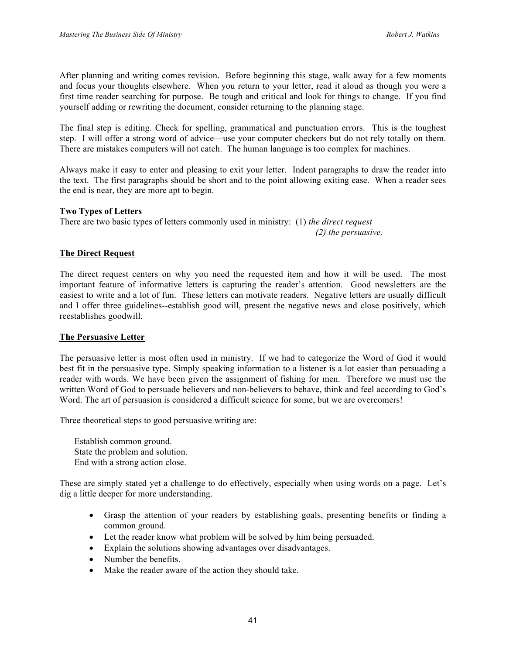After planning and writing comes revision. Before beginning this stage, walk away for a few moments and focus your thoughts elsewhere. When you return to your letter, read it aloud as though you were a first time reader searching for purpose. Be tough and critical and look for things to change. If you find yourself adding or rewriting the document, consider returning to the planning stage.

The final step is editing. Check for spelling, grammatical and punctuation errors. This is the toughest step. I will offer a strong word of advice—use your computer checkers but do not rely totally on them. There are mistakes computers will not catch. The human language is too complex for machines.

Always make it easy to enter and pleasing to exit your letter. Indent paragraphs to draw the reader into the text. The first paragraphs should be short and to the point allowing exiting ease. When a reader sees the end is near, they are more apt to begin.

#### **Two Types of Letters**

There are two basic types of letters commonly used in ministry: (1) *the direct request (2) the persuasive.* 

#### **The Direct Request**

The direct request centers on why you need the requested item and how it will be used. The most important feature of informative letters is capturing the reader's attention. Good newsletters are the easiest to write and a lot of fun. These letters can motivate readers. Negative letters are usually difficult and I offer three guidelines--establish good will, present the negative news and close positively, which reestablishes goodwill.

#### **The Persuasive Letter**

The persuasive letter is most often used in ministry. If we had to categorize the Word of God it would best fit in the persuasive type. Simply speaking information to a listener is a lot easier than persuading a reader with words. We have been given the assignment of fishing for men. Therefore we must use the written Word of God to persuade believers and non-believers to behave, think and feel according to God's Word. The art of persuasion is considered a difficult science for some, but we are overcomers!

Three theoretical steps to good persuasive writing are:

Establish common ground. State the problem and solution. End with a strong action close.

These are simply stated yet a challenge to do effectively, especially when using words on a page. Let's dig a little deeper for more understanding.

- Grasp the attention of your readers by establishing goals, presenting benefits or finding a common ground.
- Let the reader know what problem will be solved by him being persuaded.
- Explain the solutions showing advantages over disadvantages.
- Number the benefits.
- Make the reader aware of the action they should take.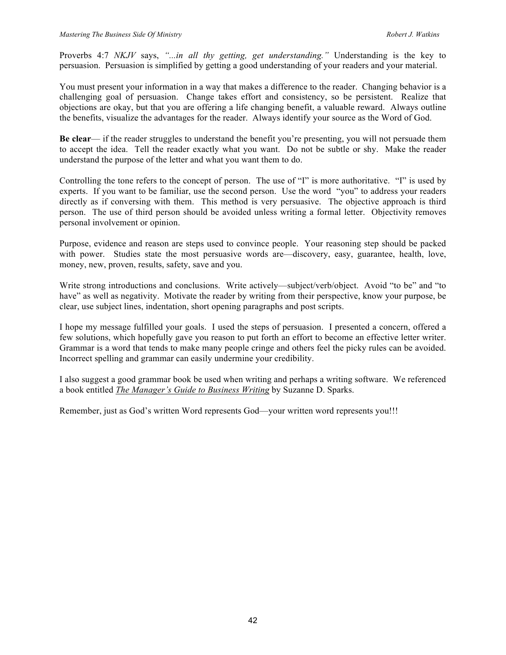Proverbs 4:7 *NKJV* says, *"...in all thy getting, get understanding."* Understanding is the key to persuasion. Persuasion is simplified by getting a good understanding of your readers and your material.

You must present your information in a way that makes a difference to the reader. Changing behavior is a challenging goal of persuasion. Change takes effort and consistency, so be persistent. Realize that objections are okay, but that you are offering a life changing benefit, a valuable reward. Always outline the benefits, visualize the advantages for the reader. Always identify your source as the Word of God.

**Be clear**— if the reader struggles to understand the benefit you're presenting, you will not persuade them to accept the idea. Tell the reader exactly what you want. Do not be subtle or shy. Make the reader understand the purpose of the letter and what you want them to do.

Controlling the tone refers to the concept of person. The use of "I" is more authoritative. "I" is used by experts. If you want to be familiar, use the second person. Use the word "you" to address your readers directly as if conversing with them. This method is very persuasive. The objective approach is third person. The use of third person should be avoided unless writing a formal letter. Objectivity removes personal involvement or opinion.

Purpose, evidence and reason are steps used to convince people. Your reasoning step should be packed with power. Studies state the most persuasive words are—discovery, easy, guarantee, health, love, money, new, proven, results, safety, save and you.

Write strong introductions and conclusions. Write actively—subject/verb/object. Avoid "to be" and "to have" as well as negativity. Motivate the reader by writing from their perspective, know your purpose, be clear, use subject lines, indentation, short opening paragraphs and post scripts.

I hope my message fulfilled your goals. I used the steps of persuasion. I presented a concern, offered a few solutions, which hopefully gave you reason to put forth an effort to become an effective letter writer. Grammar is a word that tends to make many people cringe and others feel the picky rules can be avoided. Incorrect spelling and grammar can easily undermine your credibility.

I also suggest a good grammar book be used when writing and perhaps a writing software. We referenced a book entitled *The Manager's Guide to Business Writing* by Suzanne D. Sparks.

Remember, just as God's written Word represents God—your written word represents you!!!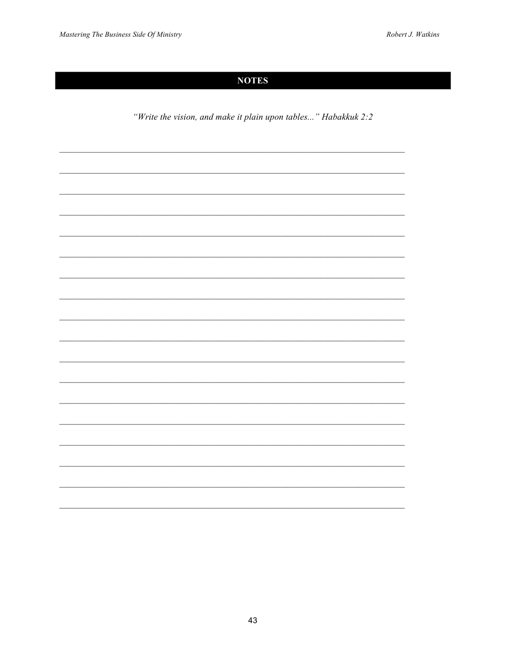# **NOTES**

"Write the vision, and make it plain upon tables..." Habakkuk 2:2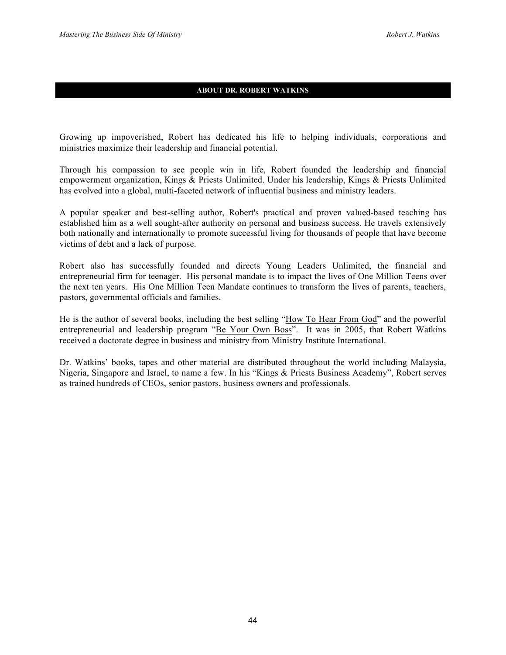#### **ABOUT DR. ROBERT WATKINS**

Growing up impoverished, Robert has dedicated his life to helping individuals, corporations and ministries maximize their leadership and financial potential.

Through his compassion to see people win in life, Robert founded the leadership and financial empowerment organization, Kings & Priests Unlimited. Under his leadership, Kings & Priests Unlimited has evolved into a global, multi-faceted network of influential business and ministry leaders.

A popular speaker and best-selling author, Robert's practical and proven valued-based teaching has established him as a well sought-after authority on personal and business success. He travels extensively both nationally and internationally to promote successful living for thousands of people that have become victims of debt and a lack of purpose.

Robert also has successfully founded and directs Young Leaders Unlimited, the financial and entrepreneurial firm for teenager. His personal mandate is to impact the lives of One Million Teens over the next ten years. His One Million Teen Mandate continues to transform the lives of parents, teachers, pastors, governmental officials and families.

He is the author of several books, including the best selling "How To Hear From God" and the powerful entrepreneurial and leadership program "Be Your Own Boss". It was in 2005, that Robert Watkins received a doctorate degree in business and ministry from Ministry Institute International.

Dr. Watkins' books, tapes and other material are distributed throughout the world including Malaysia, Nigeria, Singapore and Israel, to name a few. In his "Kings & Priests Business Academy", Robert serves as trained hundreds of CEOs, senior pastors, business owners and professionals.